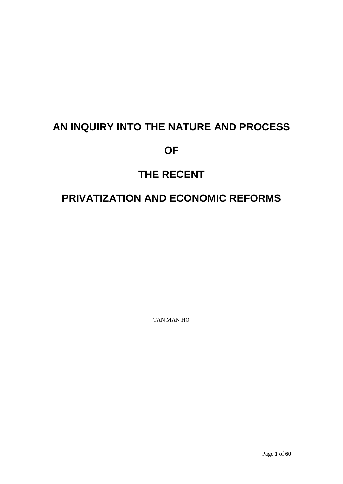# **AN INQUIRY INTO THE NATURE AND PROCESS**

## **OF**

# **THE RECENT**

# **PRIVATIZATION AND ECONOMIC REFORMS**

TAN MAN HO

Page **1** of **60**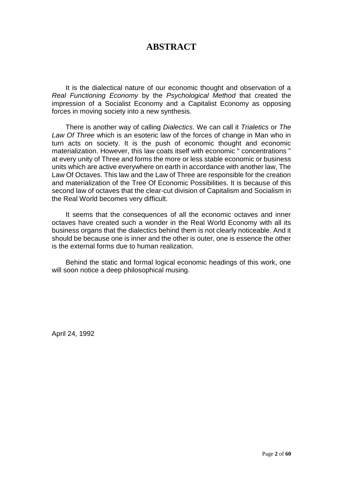## **ABSTRACT**

It is the dialectical nature of our economic thought and observation of a *Real Functioning Economy* by the *Psychological Method* that created the impression of a Socialist Economy and a Capitalist Economy as opposing forces in moving society into a new synthesis.

There is another way of calling *Dialectics*. We can call it *Trialetics* or *The Law Of Three* which is an esoteric law of the forces of change in Man who in turn acts on society. It is the push of economic thought and economic materialization. However, this law coats itself with economic " concentrations " at every unity of Three and forms the more or less stable economic or business units which are active everywhere on earth in accordance with another law, The Law Of Octaves. This law and the Law of Three are responsible for the creation and materialization of the Tree Of Economic Possibilities. It is because of this second law of octaves that the clear-cut division of Capitalism and Socialism in the Real World becomes very difficult.

It seems that the consequences of all the economic octaves and inner octaves have created such a wonder in the Real World Economy with all its business organs that the dialectics behind them is not clearly noticeable. And it should be because one is inner and the other is outer, one is essence the other is the external forms due to human realization.

Behind the static and formal logical economic headings of this work, one will soon notice a deep philosophical musing.

April 24, 1992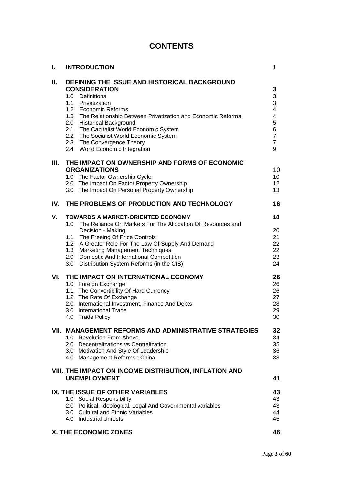## **CONTENTS**

| I.  | <b>INTRODUCTION</b>                                                                                                                                                                                                                                                                                                                                                                         | 1                                                                                                                    |
|-----|---------------------------------------------------------------------------------------------------------------------------------------------------------------------------------------------------------------------------------------------------------------------------------------------------------------------------------------------------------------------------------------------|----------------------------------------------------------------------------------------------------------------------|
| Ш.  | DEFINING THE ISSUE AND HISTORICAL BACKGROUND<br><b>CONSIDERATION</b><br>1.0 Definitions<br>1.1 Privatization<br>1.2 Economic Reforms<br>1.3 The Relationship Between Privatization and Economic Reforms<br>2.0 Historical Background<br>2.1 The Capitalist World Economic System<br>2.2 The Socialist World Economic System<br>2.3 The Convergence Theory<br>2.4 World Economic Integration | 3<br>3<br>3<br>$\overline{\mathbf{4}}$<br>$\overline{\mathbf{4}}$<br>5<br>6<br>$\overline{7}$<br>$\overline{7}$<br>9 |
| Ш.  | THE IMPACT ON OWNERSHIP AND FORMS OF ECONOMIC<br><b>ORGANIZATIONS</b><br>1.0 The Factor Ownership Cycle<br>2.0 The Impact On Factor Property Ownership<br>3.0 The Impact On Personal Property Ownership                                                                                                                                                                                     | 10<br>10<br>12<br>13                                                                                                 |
| IV. | THE PROBLEMS OF PRODUCTION AND TECHNOLOGY                                                                                                                                                                                                                                                                                                                                                   | 16                                                                                                                   |
| V.  | <b>TOWARDS A MARKET-ORIENTED ECONOMY</b><br>1.0 The Reliance On Markets For The Allocation Of Resources and<br>Decision - Making<br>1.1 The Freeing Of Price Controls<br>1.2 A Greater Role For The Law Of Supply And Demand<br>1.3 Marketing Management Techniques<br>2.0 Domestic And International Competition<br>3.0 Distribution System Reforms (in the CIS)                           | 18<br>20<br>21<br>22<br>22<br>23<br>24                                                                               |
| VI. | THE IMPACT ON INTERNATIONAL ECONOMY<br>1.0 Foreign Exchange<br>1.1 The Convertibility Of Hard Currency<br>1.2 The Rate Of Exchange<br>2.0 International Investment, Finance And Debts<br>3.0 International Trade<br>4.0 Trade Policy                                                                                                                                                        | 26<br>26<br>26<br>27<br>28<br>29<br>30                                                                               |
|     | VII. MANAGEMENT REFORMS AND ADMINISTRATIVE STRATEGIES<br>1.0 Revolution From Above<br>2.0 Decentralizations vs Centralization<br>3.0 Motivation And Style Of Leadership<br>4.0 Management Reforms: China                                                                                                                                                                                    | 32<br>34<br>35<br>36<br>38                                                                                           |
|     | VIII. THE IMPACT ON INCOME DISTRIBUTION, INFLATION AND<br><b>UNEMPLOYMENT</b>                                                                                                                                                                                                                                                                                                               | 41                                                                                                                   |
|     | IX. THE ISSUE OF OTHER VARIABLES<br>1.0 Social Responsibility<br>2.0 Political, Ideological, Legal And Governmental variables<br>3.0 Cultural and Ethnic Variables<br>4.0 Industrial Unrests                                                                                                                                                                                                | 43<br>43<br>43<br>44<br>45                                                                                           |
|     | X. THE ECONOMIC ZONES                                                                                                                                                                                                                                                                                                                                                                       | 46                                                                                                                   |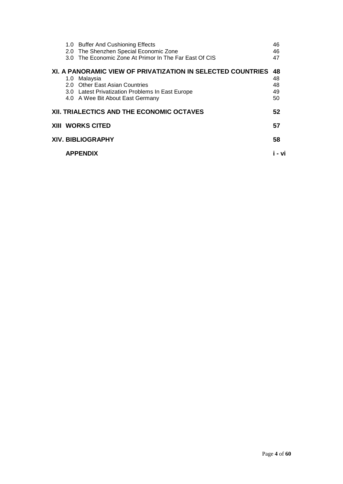|  | 1.0 Buffer And Cushioning Effects<br>2.0 The Shenzhen Special Economic Zone<br>3.0 The Economic Zone At Primor In The Far East Of CIS | 46<br>46<br>47 |
|--|---------------------------------------------------------------------------------------------------------------------------------------|----------------|
|  | XI. A PANORAMIC VIEW OF PRIVATIZATION IN SELECTED COUNTRIES<br>1.0 Malaysia                                                           | 48<br>48       |
|  | 2.0 Other East Asian Countries                                                                                                        | 48             |
|  | 3.0 Latest Privatization Problems In East Europe                                                                                      | 49             |
|  | 4.0 A Wee Bit About East Germany                                                                                                      | 50             |
|  | XII. TRIALECTICS AND THE ECONOMIC OCTAVES                                                                                             | 52             |
|  | <b>XIII WORKS CITED</b>                                                                                                               | 57             |
|  | <b>XIV. BIBLIOGRAPHY</b>                                                                                                              | 58             |
|  | <b>APPENDIX</b>                                                                                                                       | - vi           |
|  |                                                                                                                                       |                |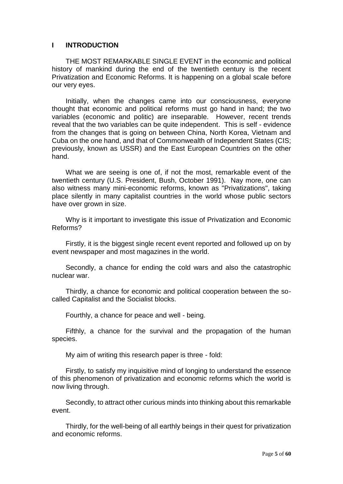#### **I INTRODUCTION**

THE MOST REMARKABLE SINGLE EVENT in the economic and political history of mankind during the end of the twentieth century is the recent Privatization and Economic Reforms. It is happening on a global scale before our very eyes.

Initially, when the changes came into our consciousness, everyone thought that economic and political reforms must go hand in hand; the two variables (economic and politic) are inseparable. However, recent trends reveal that the two variables can be quite independent. This is self - evidence from the changes that is going on between China, North Korea, Vietnam and Cuba on the one hand, and that of Commonwealth of Independent States (CIS; previously, known as USSR) and the East European Countries on the other hand.

What we are seeing is one of, if not the most, remarkable event of the twentieth century (U.S. President, Bush, October 1991). Nay more, one can also witness many mini-economic reforms, known as "Privatizations", taking place silently in many capitalist countries in the world whose public sectors have over grown in size.

Why is it important to investigate this issue of Privatization and Economic Reforms?

Firstly, it is the biggest single recent event reported and followed up on by event newspaper and most magazines in the world.

Secondly, a chance for ending the cold wars and also the catastrophic nuclear war.

Thirdly, a chance for economic and political cooperation between the socalled Capitalist and the Socialist blocks.

Fourthly, a chance for peace and well - being.

Fifthly, a chance for the survival and the propagation of the human species.

My aim of writing this research paper is three - fold:

Firstly, to satisfy my inquisitive mind of longing to understand the essence of this phenomenon of privatization and economic reforms which the world is now living through.

Secondly, to attract other curious minds into thinking about this remarkable event.

Thirdly, for the well-being of all earthly beings in their quest for privatization and economic reforms.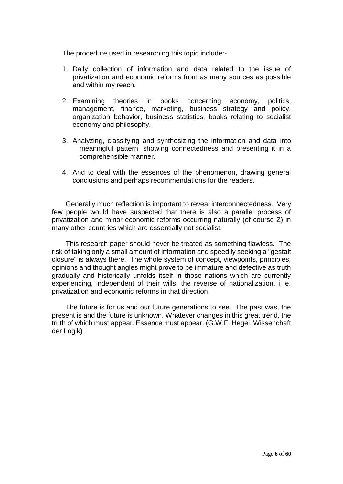The procedure used in researching this topic include:-

- 1. Daily collection of information and data related to the issue of privatization and economic reforms from as many sources as possible and within my reach.
- 2. Examining theories in books concerning economy, politics, management, finance, marketing, business strategy and policy, organization behavior, business statistics, books relating to socialist economy and philosophy.
- 3. Analyzing, classifying and synthesizing the information and data into meaningful pattern, showing connectedness and presenting it in a comprehensible manner.
- 4. And to deal with the essences of the phenomenon, drawing general conclusions and perhaps recommendations for the readers.

Generally much reflection is important to reveal interconnectedness. Very few people would have suspected that there is also a parallel process of privatization and minor economic reforms occurring naturally (of course Z) in many other countries which are essentially not socialist.

This research paper should never be treated as something flawless. The risk of taking only a small amount of information and speedily seeking a "gestalt closure" is always there. The whole system of concept, viewpoints, principles, opinions and thought angles might prove to be immature and defective as truth gradually and historically unfolds itself in those nations which are currently experiencing, independent of their wills, the reverse of nationalization, i. e. privatization and economic reforms in that direction.

The future is for us and our future generations to see. The past was, the present is and the future is unknown. Whatever changes in this great trend, the truth of which must appear. Essence must appear. (G.W.F. Hegel, Wissenchaft der Logik)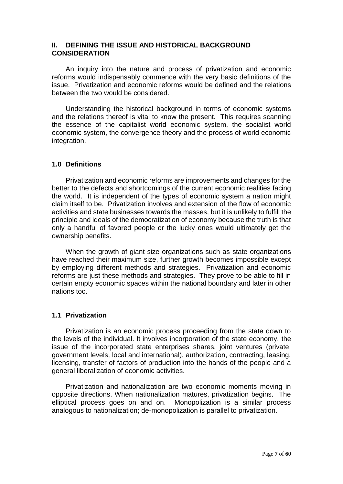#### **II. DEFINING THE ISSUE AND HISTORICAL BACKGROUND CONSIDERATION**

An inquiry into the nature and process of privatization and economic reforms would indispensably commence with the very basic definitions of the issue. Privatization and economic reforms would be defined and the relations between the two would be considered.

Understanding the historical background in terms of economic systems and the relations thereof is vital to know the present. This requires scanning the essence of the capitalist world economic system, the socialist world economic system, the convergence theory and the process of world economic integration.

### **1.0 Definitions**

Privatization and economic reforms are improvements and changes for the better to the defects and shortcomings of the current economic realities facing the world. It is independent of the types of economic system a nation might claim itself to be. Privatization involves and extension of the flow of economic activities and state businesses towards the masses, but it is unlikely to fulfill the principle and ideals of the democratization of economy because the truth is that only a handful of favored people or the lucky ones would ultimately get the ownership benefits.

When the growth of giant size organizations such as state organizations have reached their maximum size, further growth becomes impossible except by employing different methods and strategies. Privatization and economic reforms are just these methods and strategies. They prove to be able to fill in certain empty economic spaces within the national boundary and later in other nations too.

#### **1.1 Privatization**

Privatization is an economic process proceeding from the state down to the levels of the individual. It involves incorporation of the state economy, the issue of the incorporated state enterprises shares, joint ventures (private, government levels, local and international), authorization, contracting, leasing, licensing, transfer of factors of production into the hands of the people and a general liberalization of economic activities.

Privatization and nationalization are two economic moments moving in opposite directions. When nationalization matures, privatization begins. The elliptical process goes on and on. Monopolization is a similar process analogous to nationalization; de-monopolization is parallel to privatization.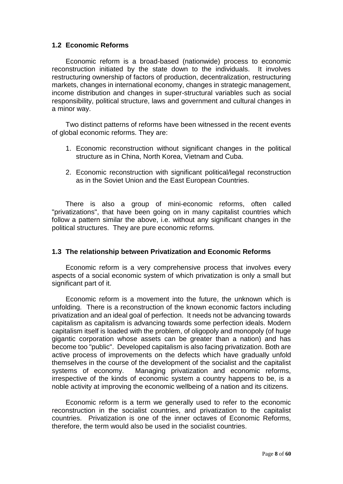#### **1.2 Economic Reforms**

Economic reform is a broad-based (nationwide) process to economic reconstruction initiated by the state down to the individuals. It involves restructuring ownership of factors of production, decentralization, restructuring markets, changes in international economy, changes in strategic management, income distribution and changes in super-structural variables such as social responsibility, political structure, laws and government and cultural changes in a minor way.

Two distinct patterns of reforms have been witnessed in the recent events of global economic reforms. They are:

- 1. Economic reconstruction without significant changes in the political structure as in China, North Korea, Vietnam and Cuba.
- 2. Economic reconstruction with significant political/legal reconstruction as in the Soviet Union and the East European Countries.

There is also a group of mini-economic reforms, often called "privatizations", that have been going on in many capitalist countries which follow a pattern similar the above, i.e. without any significant changes in the political structures. They are pure economic reforms.

#### **1.3 The relationship between Privatization and Economic Reforms**

Economic reform is a very comprehensive process that involves every aspects of a social economic system of which privatization is only a small but significant part of it.

Economic reform is a movement into the future, the unknown which is unfolding. There is a reconstruction of the known economic factors including privatization and an ideal goal of perfection. It needs not be advancing towards capitalism as capitalism is advancing towards some perfection ideals. Modern capitalism itself is loaded with the problem, of oligopoly and monopoly (of huge gigantic corporation whose assets can be greater than a nation) and has become too "public". Developed capitalism is also facing privatization. Both are active process of improvements on the defects which have gradually unfold themselves in the course of the development of the socialist and the capitalist systems of economy. Managing privatization and economic reforms, irrespective of the kinds of economic system a country happens to be, is a noble activity at improving the economic wellbeing of a nation and its citizens.

Economic reform is a term we generally used to refer to the economic reconstruction in the socialist countries, and privatization to the capitalist countries. Privatization is one of the inner octaves of Economic Reforms, therefore, the term would also be used in the socialist countries.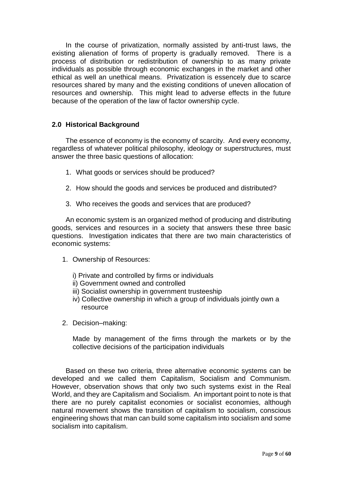In the course of privatization, normally assisted by anti-trust laws, the existing alienation of forms of property is gradually removed. There is a process of distribution or redistribution of ownership to as many private individuals as possible through economic exchanges in the market and other ethical as well an unethical means. Privatization is essencely due to scarce resources shared by many and the existing conditions of uneven allocation of resources and ownership. This might lead to adverse effects in the future because of the operation of the law of factor ownership cycle.

## **2.0 Historical Background**

The essence of economy is the economy of scarcity. And every economy, regardless of whatever political philosophy, ideology or superstructures, must answer the three basic questions of allocation:

- 1. What goods or services should be produced?
- 2. How should the goods and services be produced and distributed?
- 3. Who receives the goods and services that are produced?

An economic system is an organized method of producing and distributing goods, services and resources in a society that answers these three basic questions. Investigation indicates that there are two main characteristics of economic systems:

- 1. Ownership of Resources:
	- i) Private and controlled by firms or individuals
	- ii) Government owned and controlled
	- iii) Socialist ownership in government trusteeship
	- iv) Collective ownership in which a group of individuals jointly own a resource
- 2. Decision–making:

Made by management of the firms through the markets or by the collective decisions of the participation individuals

Based on these two criteria, three alternative economic systems can be developed and we called them Capitalism, Socialism and Communism. However, observation shows that only two such systems exist in the Real World, and they are Capitalism and Socialism. An important point to note is that there are no purely capitalist economies or socialist economies, although natural movement shows the transition of capitalism to socialism, conscious engineering shows that man can build some capitalism into socialism and some socialism into capitalism.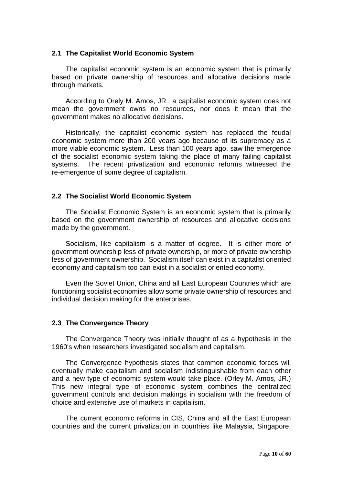#### **2.1 The Capitalist World Economic System**

The capitalist economic system is an economic system that is primarily based on private ownership of resources and allocative decisions made through markets.

According to Orely M. Amos, JR., a capitalist economic system does not mean the government owns no resources, nor does it mean that the government makes no allocative decisions.

Historically, the capitalist economic system has replaced the feudal economic system more than 200 years ago because of its supremacy as a more viable economic system. Less than 100 years ago, saw the emergence of the socialist economic system taking the place of many failing capitalist systems. The recent privatization and economic reforms witnessed the re-emergence of some degree of capitalism.

#### **2.2 The Socialist World Economic System**

The Socialist Economic System is an economic system that is primarily based on the government ownership of resources and allocative decisions made by the government.

Socialism, like capitalism is a matter of degree. It is either more of government ownership less of private ownership, or more of private ownership less of government ownership. Socialism itself can exist in a capitalist oriented economy and capitalism too can exist in a socialist oriented economy.

Even the Soviet Union, China and all East European Countries which are functioning socialist economies allow some private ownership of resources and individual decision making for the enterprises.

#### **2.3 The Convergence Theory**

The Convergence Theory was initially thought of as a hypothesis in the 1960's when researchers investigated socialism and capitalism.

The Convergence hypothesis states that common economic forces will eventually make capitalism and socialism indistinguishable from each other and a new type of economic system would take place. (Orley M. Amos, JR.) This new integral type of economic system combines the centralized government controls and decision makings in socialism with the freedom of choice and extensive use of markets in capitalism.

The current economic reforms in CIS, China and all the East European countries and the current privatization in countries like Malaysia, Singapore,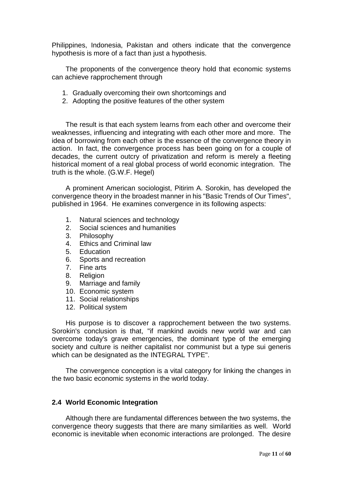Philippines, Indonesia, Pakistan and others indicate that the convergence hypothesis is more of a fact than just a hypothesis.

The proponents of the convergence theory hold that economic systems can achieve rapprochement through

- 1. Gradually overcoming their own shortcomings and
- 2. Adopting the positive features of the other system

The result is that each system learns from each other and overcome their weaknesses, influencing and integrating with each other more and more. The idea of borrowing from each other is the essence of the convergence theory in action. In fact, the convergence process has been going on for a couple of decades, the current outcry of privatization and reform is merely a fleeting historical moment of a real global process of world economic integration. The truth is the whole. (G.W.F. Hegel)

A prominent American sociologist, Pitirim A. Sorokin, has developed the convergence theory in the broadest manner in his "Basic Trends of Our Times", published in 1964. He examines convergence in its following aspects:

- 1. Natural sciences and technology
- 2. Social sciences and humanities
- 3. Philosophy
- 4. Ethics and Criminal law
- 5. Education
- 6. Sports and recreation
- 7. Fine arts
- 8. Religion
- 9. Marriage and family
- 10. Economic system
- 11. Social relationships
- 12. Political system

His purpose is to discover a rapprochement between the two systems. Sorokin's conclusion is that, "if mankind avoids new world war and can overcome today's grave emergencies, the dominant type of the emerging society and culture is neither capitalist nor communist but a type sui generis which can be designated as the INTEGRAL TYPE".

The convergence conception is a vital category for linking the changes in the two basic economic systems in the world today.

#### **2.4 World Economic Integration**

Although there are fundamental differences between the two systems, the convergence theory suggests that there are many similarities as well. World economic is inevitable when economic interactions are prolonged. The desire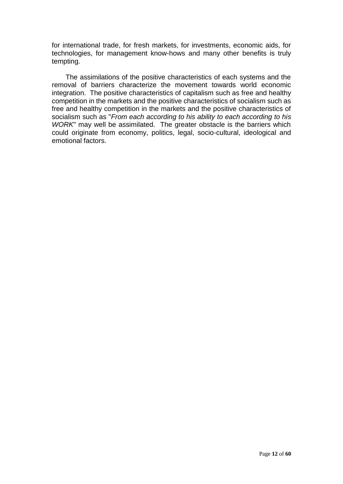for international trade, for fresh markets, for investments, economic aids, for technologies, for management know-hows and many other benefits is truly tempting.

The assimilations of the positive characteristics of each systems and the removal of barriers characterize the movement towards world economic integration. The positive characteristics of capitalism such as free and healthy competition in the markets and the positive characteristics of socialism such as free and healthy competition in the markets and the positive characteristics of socialism such as "*From each according to his ability to each according to his WORK*" may well be assimilated. The greater obstacle is the barriers which could originate from economy, politics, legal, socio-cultural, ideological and emotional factors.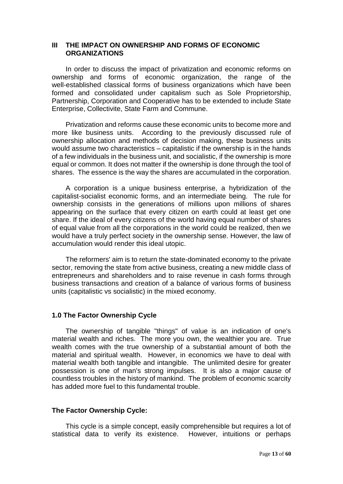#### **III THE IMPACT ON OWNERSHIP AND FORMS OF ECONOMIC ORGANIZATIONS**

In order to discuss the impact of privatization and economic reforms on ownership and forms of economic organization, the range of the well-established classical forms of business organizations which have been formed and consolidated under capitalism such as Sole Proprietorship, Partnership, Corporation and Cooperative has to be extended to include State Enterprise, Collectivite, State Farm and Commune.

Privatization and reforms cause these economic units to become more and more like business units. According to the previously discussed rule of ownership allocation and methods of decision making, these business units would assume two characteristics – capitalistic if the ownership is in the hands of a few individuals in the business unit, and socialistic, if the ownership is more equal or common. It does not matter if the ownership is done through the tool of shares. The essence is the way the shares are accumulated in the corporation.

A corporation is a unique business enterprise, a hybridization of the capitalist-socialist economic forms, and an intermediate being. The rule for ownership consists in the generations of millions upon millions of shares appearing on the surface that every citizen on earth could at least get one share. If the ideal of every citizens of the world having equal number of shares of equal value from all the corporations in the world could be realized, then we would have a truly perfect society in the ownership sense. However, the law of accumulation would render this ideal utopic.

The reformers' aim is to return the state-dominated economy to the private sector, removing the state from active business, creating a new middle class of entrepreneurs and shareholders and to raise revenue in cash forms through business transactions and creation of a balance of various forms of business units (capitalistic vs socialistic) in the mixed economy.

#### **1.0 The Factor Ownership Cycle**

The ownership of tangible "things" of value is an indication of one's material wealth and riches. The more you own, the wealthier you are. True wealth comes with the true ownership of a substantial amount of both the material and spiritual wealth. However, in economics we have to deal with material wealth both tangible and intangible. The unlimited desire for greater possession is one of man's strong impulses. It is also a major cause of countless troubles in the history of mankind. The problem of economic scarcity has added more fuel to this fundamental trouble.

#### **The Factor Ownership Cycle:**

This cycle is a simple concept, easily comprehensible but requires a lot of statistical data to verify its existence. However, intuitions or perhaps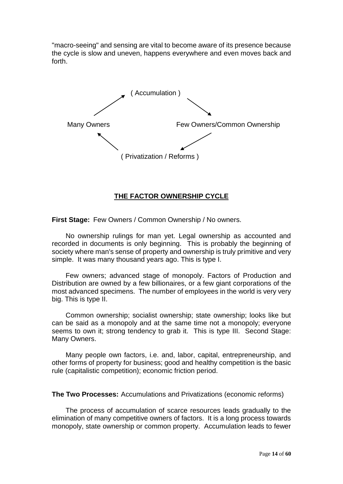"macro-seeing" and sensing are vital to become aware of its presence because the cycle is slow and uneven, happens everywhere and even moves back and forth.



### **THE FACTOR OWNERSHIP CYCLE**

**First Stage:** Few Owners / Common Ownership / No owners.

No ownership rulings for man yet. Legal ownership as accounted and recorded in documents is only beginning. This is probably the beginning of society where man's sense of property and ownership is truly primitive and very simple. It was many thousand years ago. This is type I.

Few owners; advanced stage of monopoly. Factors of Production and Distribution are owned by a few billionaires, or a few giant corporations of the most advanced specimens. The number of employees in the world is very very big. This is type II.

Common ownership; socialist ownership; state ownership; looks like but can be said as a monopoly and at the same time not a monopoly; everyone seems to own it; strong tendency to grab it. This is type III. Second Stage: Many Owners.

Many people own factors, i.e. and, labor, capital, entrepreneurship, and other forms of property for business; good and healthy competition is the basic rule (capitalistic competition); economic friction period.

**The Two Processes:** Accumulations and Privatizations (economic reforms)

The process of accumulation of scarce resources leads gradually to the elimination of many competitive owners of factors. It is a long process towards monopoly, state ownership or common property. Accumulation leads to fewer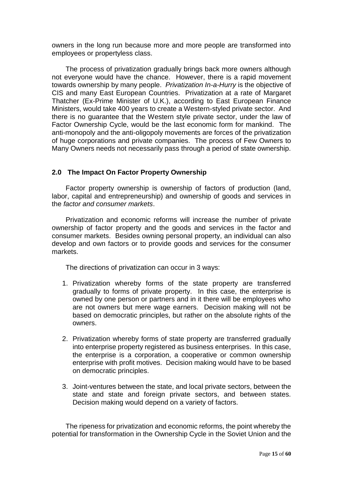owners in the long run because more and more people are transformed into employees or propertyless class.

The process of privatization gradually brings back more owners although not everyone would have the chance. However, there is a rapid movement towards ownership by many people. *Privatization In-a-Hurry* is the objective of CIS and many East European Countries. Privatization at a rate of Margaret Thatcher (Ex-Prime Minister of U.K.), according to East European Finance Ministers, would take 400 years to create a Western-styled private sector. And there is no guarantee that the Western style private sector, under the law of Factor Ownership Cycle, would be the last economic form for mankind. The anti-monopoly and the anti-oligopoly movements are forces of the privatization of huge corporations and private companies. The process of Few Owners to Many Owners needs not necessarily pass through a period of state ownership.

#### **2.0 The Impact On Factor Property Ownership**

Factor property ownership is ownership of factors of production (land, labor, capital and entrepreneurship) and ownership of goods and services in the *factor and consumer markets*.

Privatization and economic reforms will increase the number of private ownership of factor property and the goods and services in the factor and consumer markets. Besides owning personal property, an individual can also develop and own factors or to provide goods and services for the consumer markets.

The directions of privatization can occur in 3 ways:

- 1. Privatization whereby forms of the state property are transferred gradually to forms of private property. In this case, the enterprise is owned by one person or partners and in it there will be employees who are not owners but mere wage earners. Decision making will not be based on democratic principles, but rather on the absolute rights of the owners.
- 2. Privatization whereby forms of state property are transferred gradually into enterprise property registered as business enterprises. In this case, the enterprise is a corporation, a cooperative or common ownership enterprise with profit motives. Decision making would have to be based on democratic principles.
- 3. Joint-ventures between the state, and local private sectors, between the state and state and foreign private sectors, and between states. Decision making would depend on a variety of factors.

The ripeness for privatization and economic reforms, the point whereby the potential for transformation in the Ownership Cycle in the Soviet Union and the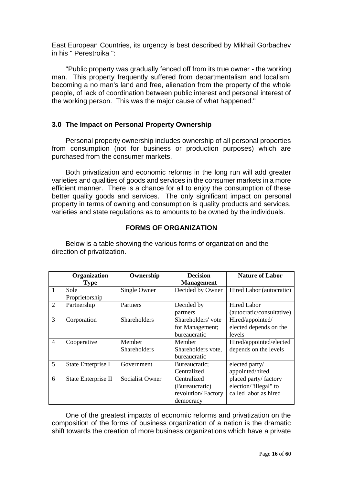East European Countries, its urgency is best described by Mikhail Gorbachev in his " Perestroika ":

"Public property was gradually fenced off from its true owner - the working man. This property frequently suffered from departmentalism and localism, becoming a no man's land and free, alienation from the property of the whole people, of lack of coordination between public interest and personal interest of the working person. This was the major cause of what happened."

### **3.0 The Impact on Personal Property Ownership**

Personal property ownership includes ownership of all personal properties from consumption (not for business or production purposes) which are purchased from the consumer markets.

Both privatization and economic reforms in the long run will add greater varieties and qualities of goods and services in the consumer markets in a more efficient manner. There is a chance for all to enjoy the consumption of these better quality goods and services. The only significant impact on personal property in terms of owning and consumption is quality products and services, varieties and state regulations as to amounts to be owned by the individuals.

### **FORMS OF ORGANIZATION**

Below is a table showing the various forms of organization and the direction of privatization.

|                | Organization        | Ownership           | <b>Decision</b>    | <b>Nature of Labor</b>    |
|----------------|---------------------|---------------------|--------------------|---------------------------|
|                | <b>Type</b>         |                     | <b>Management</b>  |                           |
| $\mathbf{1}$   | Sole                | Single Owner        | Decided by Owner   | Hired Labor (autocratic)  |
|                | Proprietorship      |                     |                    |                           |
| $\overline{2}$ | Partnership         | Partners            | Decided by         | <b>Hired Labor</b>        |
|                |                     |                     | partners           | (autocratic/consultative) |
| $\overline{3}$ | Corporation         | <b>Shareholders</b> | Shareholders' vote | Hired/appointed/          |
|                |                     |                     | for Management;    | elected depends on the    |
|                |                     |                     | bureaucratic       | levels                    |
| $\overline{4}$ | Cooperative         | Member              | Member             | Hired/appointed/elected   |
|                |                     | <b>Shareholders</b> | Shareholders vote, | depends on the levels     |
|                |                     |                     | bureaucratic       |                           |
| 5              | State Enterprise I  | Government          | Bureaucratic;      | elected party/            |
|                |                     |                     | Centralized        | appointed/hired.          |
| 6              | State Enterprise II | Socialist Owner     | Centralized        | placed party/factory      |
|                |                     |                     | (Bureaucratic)     | election/"illegal" to     |
|                |                     |                     | revolution/Factory | called labor as hired     |
|                |                     |                     | democracy          |                           |

One of the greatest impacts of economic reforms and privatization on the composition of the forms of business organization of a nation is the dramatic shift towards the creation of more business organizations which have a private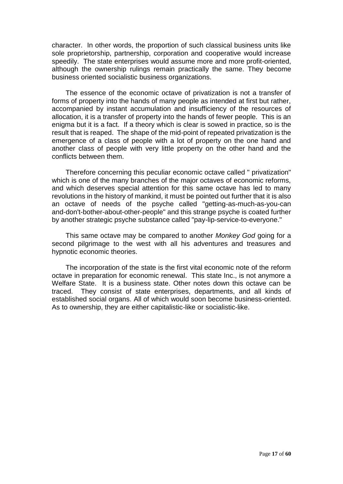character. In other words, the proportion of such classical business units like sole proprietorship, partnership, corporation and cooperative would increase speedily. The state enterprises would assume more and more profit-oriented, although the ownership rulings remain practically the same. They become business oriented socialistic business organizations.

The essence of the economic octave of privatization is not a transfer of forms of property into the hands of many people as intended at first but rather, accompanied by instant accumulation and insufficiency of the resources of allocation, it is a transfer of property into the hands of fewer people. This is an enigma but it is a fact. If a theory which is clear is sowed in practice, so is the result that is reaped. The shape of the mid-point of repeated privatization is the emergence of a class of people with a lot of property on the one hand and another class of people with very little property on the other hand and the conflicts between them.

Therefore concerning this peculiar economic octave called " privatization" which is one of the many branches of the major octaves of economic reforms. and which deserves special attention for this same octave has led to many revolutions in the history of mankind, it must be pointed out further that it is also an octave of needs of the psyche called "getting-as-much-as-you-can and-don't-bother-about-other-people" and this strange psyche is coated further by another strategic psyche substance called "pay-lip-service-to-everyone."

This same octave may be compared to another *Monkey God* going for a second pilgrimage to the west with all his adventures and treasures and hypnotic economic theories.

The incorporation of the state is the first vital economic note of the reform octave in preparation for economic renewal. This state Inc., is not anymore a Welfare State. It is a business state. Other notes down this octave can be traced. They consist of state enterprises, departments, and all kinds of established social organs. All of which would soon become business-oriented. As to ownership, they are either capitalistic-like or socialistic-like.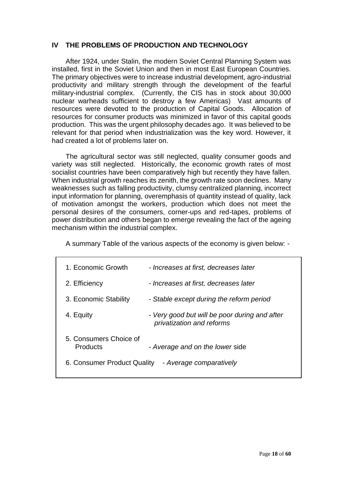## **IV THE PROBLEMS OF PRODUCTION AND TECHNOLOGY**

After 1924, under Stalin, the modern Soviet Central Planning System was installed, first in the Soviet Union and then in most East European Countries. The primary objectives were to increase industrial development, agro-industrial productivity and military strength through the development of the fearful military-industrial complex. (Currently, the CIS has in stock about 30,000 nuclear warheads sufficient to destroy a few Americas) Vast amounts of resources were devoted to the production of Capital Goods. Allocation of resources for consumer products was minimized in favor of this capital goods production. This was the urgent philosophy decades ago. It was believed to be relevant for that period when industrialization was the key word. However, it had created a lot of problems later on.

The agricultural sector was still neglected, quality consumer goods and variety was still neglected. Historically, the economic growth rates of most socialist countries have been comparatively high but recently they have fallen. When industrial growth reaches its zenith, the growth rate soon declines. Many weaknesses such as falling productivity, clumsy centralized planning, incorrect input information for planning, overemphasis of quantity instead of quality, lack of motivation amongst the workers, production which does not meet the personal desires of the consumers, corner-ups and red-tapes, problems of power distribution and others began to emerge revealing the fact of the ageing mechanism within the industrial complex.

A summary Table of the various aspects of the economy is given below: -

| 1. Economic Growth                 | - Increases at first, decreases later                                      |
|------------------------------------|----------------------------------------------------------------------------|
| 2. Efficiency                      | - Increases at first, decreases later                                      |
| 3. Economic Stability              | - Stable except during the reform period                                   |
| 4. Equity                          | - Very good but will be poor during and after<br>privatization and reforms |
| 5. Consumers Choice of<br>Products | - Average and on the lower side                                            |
|                                    | 6. Consumer Product Quality - Average comparatively                        |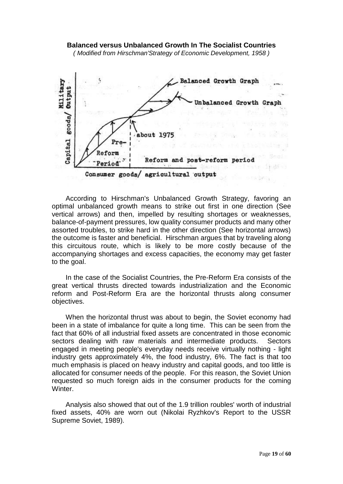#### **Balanced versus Unbalanced Growth In The Socialist Countries**

*( Modified from Hirschman'Strategy of Economic Development, 1958 )*



According to Hirschman's Unbalanced Growth Strategy, favoring an optimal unbalanced growth means to strike out first in one direction (See vertical arrows) and then, impelled by resulting shortages or weaknesses, balance-of-payment pressures, low quality consumer products and many other assorted troubles, to strike hard in the other direction (See horizontal arrows) the outcome is faster and beneficial. Hirschman argues that by traveling along this circuitous route, which is likely to be more costly because of the accompanying shortages and excess capacities, the economy may get faster to the goal.

In the case of the Socialist Countries, the Pre-Reform Era consists of the great vertical thrusts directed towards industrialization and the Economic reform and Post-Reform Era are the horizontal thrusts along consumer objectives.

When the horizontal thrust was about to begin, the Soviet economy had been in a state of imbalance for quite a long time. This can be seen from the fact that 60% of all industrial fixed assets are concentrated in those economic sectors dealing with raw materials and intermediate products. Sectors engaged in meeting people's everyday needs receive virtually nothing - light industry gets approximately 4%, the food industry, 6%. The fact is that too much emphasis is placed on heavy industry and capital goods, and too little is allocated for consumer needs of the people. For this reason, the Soviet Union requested so much foreign aids in the consumer products for the coming Winter.

Analysis also showed that out of the 1.9 trillion roubles' worth of industrial fixed assets, 40% are worn out (Nikolai Ryzhkov's Report to the USSR Supreme Soviet, 1989).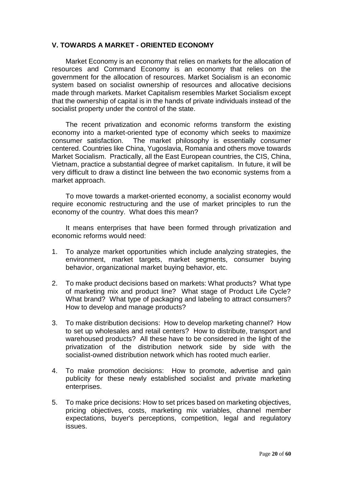#### **V. TOWARDS A MARKET - ORIENTED ECONOMY**

Market Economy is an economy that relies on markets for the allocation of resources and Command Economy is an economy that relies on the government for the allocation of resources. Market Socialism is an economic system based on socialist ownership of resources and allocative decisions made through markets. Market Capitalism resembles Market Socialism except that the ownership of capital is in the hands of private individuals instead of the socialist property under the control of the state.

The recent privatization and economic reforms transform the existing economy into a market-oriented type of economy which seeks to maximize consumer satisfaction. The market philosophy is essentially consumer centered. Countries like China, Yugoslavia, Romania and others move towards Market Socialism. Practically, all the East European countries, the CIS, China, Vietnam, practice a substantial degree of market capitalism. In future, it will be very difficult to draw a distinct line between the two economic systems from a market approach.

To move towards a market-oriented economy, a socialist economy would require economic restructuring and the use of market principles to run the economy of the country. What does this mean?

It means enterprises that have been formed through privatization and economic reforms would need:

- 1. To analyze market opportunities which include analyzing strategies, the environment, market targets, market segments, consumer buying behavior, organizational market buying behavior, etc.
- 2. To make product decisions based on markets: What products? What type of marketing mix and product line? What stage of Product Life Cycle? What brand? What type of packaging and labeling to attract consumers? How to develop and manage products?
- 3. To make distribution decisions: How to develop marketing channel? How to set up wholesales and retail centers? How to distribute, transport and warehoused products? All these have to be considered in the light of the privatization of the distribution network side by side with the socialist-owned distribution network which has rooted much earlier.
- 4. To make promotion decisions: How to promote, advertise and gain publicity for these newly established socialist and private marketing enterprises.
- 5. To make price decisions: How to set prices based on marketing objectives, pricing objectives, costs, marketing mix variables, channel member expectations, buyer's perceptions, competition, legal and regulatory issues.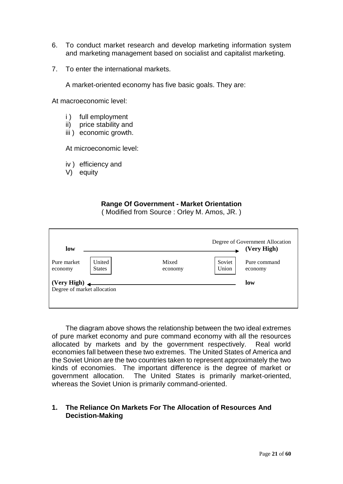- 6. To conduct market research and develop marketing information system and marketing management based on socialist and capitalist marketing.
- 7. To enter the international markets.

A market-oriented economy has five basic goals. They are:

At macroeconomic level:

- i ) full employment
- ii) price stability and
- iii ) economic growth.

At microeconomic level:

- iv ) efficiency and
- V) equity

## **Range Of Government - Market Orientation**

( Modified from Source : Orley M. Amos, JR. )

| low                                        |                         |                  |                 | Degree of Government Allocation<br>(Very High) |
|--------------------------------------------|-------------------------|------------------|-----------------|------------------------------------------------|
| Pure market<br>economy                     | United<br><b>States</b> | Mixed<br>economy | Soviet<br>Union | Pure command<br>economy                        |
| (Very High)<br>Degree of market allocation |                         |                  |                 | low                                            |

The diagram above shows the relationship between the two ideal extremes of pure market economy and pure command economy with all the resources allocated by markets and by the government respectively. Real world economies fall between these two extremes. The United States of America and the Soviet Union are the two countries taken to represent approximately the two kinds of economies. The important difference is the degree of market or government allocation. The United States is primarily market-oriented, whereas the Soviet Union is primarily command-oriented.

## **1. The Reliance On Markets For The Allocation of Resources And Decistion-Making**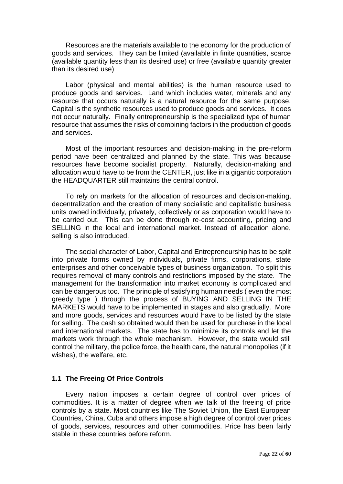Resources are the materials available to the economy for the production of goods and services. They can be limited (available in finite quantities, scarce (available quantity less than its desired use) or free (available quantity greater than its desired use)

Labor (physical and mental abilities) is the human resource used to produce goods and services. Land which includes water, minerals and any resource that occurs naturally is a natural resource for the same purpose. Capital is the synthetic resources used to produce goods and services. It does not occur naturally. Finally entrepreneurship is the specialized type of human resource that assumes the risks of combining factors in the production of goods and services.

Most of the important resources and decision-making in the pre-reform period have been centralized and planned by the state. This was because resources have become socialist property. Naturally, decision-making and allocation would have to be from the CENTER, just like in a gigantic corporation the HEADQUARTER still maintains the central control.

To rely on markets for the allocation of resources and decision-making, decentralization and the creation of many socialistic and capitalistic business units owned individually, privately, collectively or as corporation would have to be carried out. This can be done through re-cost accounting, pricing and SELLING in the local and international market. Instead of allocation alone, selling is also introduced.

The social character of Labor, Capital and Entrepreneurship has to be split into private forms owned by individuals, private firms, corporations, state enterprises and other conceivable types of business organization. To split this requires removal of many controls and restrictions imposed by the state. The management for the transformation into market economy is complicated and can be dangerous too. The principle of satisfying human needs ( even the most greedy type ) through the process of BUYING AND SELLING IN THE MARKETS would have to be implemented in stages and also gradually. More and more goods, services and resources would have to be listed by the state for selling. The cash so obtained would then be used for purchase in the local and international markets. The state has to minimize its controls and let the markets work through the whole mechanism. However, the state would still control the military, the police force, the health care, the natural monopolies (if it wishes), the welfare, etc.

#### **1.1 The Freeing Of Price Controls**

Every nation imposes a certain degree of control over prices of commodities. It is a matter of degree when we talk of the freeing of price controls by a state. Most countries like The Soviet Union, the East European Countries, China, Cuba and others impose a high degree of control over prices of goods, services, resources and other commodities. Price has been fairly stable in these countries before reform.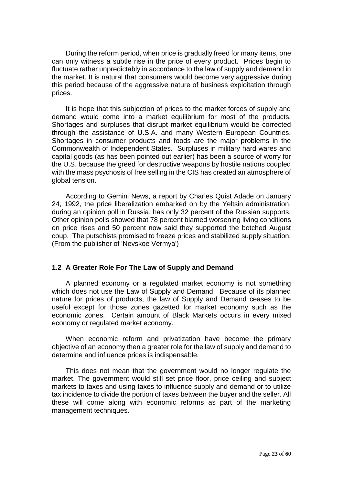During the reform period, when price is gradually freed for many items, one can only witness a subtle rise in the price of every product. Prices begin to fluctuate rather unpredictably in accordance to the law of supply and demand in the market. It is natural that consumers would become very aggressive during this period because of the aggressive nature of business exploitation through prices.

It is hope that this subjection of prices to the market forces of supply and demand would come into a market equilibrium for most of the products. Shortages and surpluses that disrupt market equilibrium would be corrected through the assistance of U.S.A. and many Western European Countries. Shortages in consumer products and foods are the major problems in the Commonwealth of Independent States. Surpluses in military hard wares and capital goods (as has been pointed out earlier) has been a source of worry for the U.S. because the greed for destructive weapons by hostile nations coupled with the mass psychosis of free selling in the CIS has created an atmosphere of global tension.

According to Gemini News, a report by Charles Quist Adade on January 24, 1992, the price liberalization embarked on by the Yeltsin administration, during an opinion poll in Russia, has only 32 percent of the Russian supports. Other opinion polls showed that 78 percent blamed worsening living conditions on price rises and 50 percent now said they supported the botched August coup. The putschists promised to freeze prices and stabilized supply situation. (From the publisher of 'Nevskoe Vermya')

#### **1.2 A Greater Role For The Law of Supply and Demand**

A planned economy or a regulated market economy is not something which does not use the Law of Supply and Demand. Because of its planned nature for prices of products, the law of Supply and Demand ceases to be useful except for those zones gazetted for market economy such as the economic zones. Certain amount of Black Markets occurs in every mixed economy or regulated market economy.

When economic reform and privatization have become the primary objective of an economy then a greater role for the law of supply and demand to determine and influence prices is indispensable.

This does not mean that the government would no longer regulate the market. The government would still set price floor, price ceiling and subject markets to taxes and using taxes to influence supply and demand or to utilize tax incidence to divide the portion of taxes between the buyer and the seller. All these will come along with economic reforms as part of the marketing management techniques.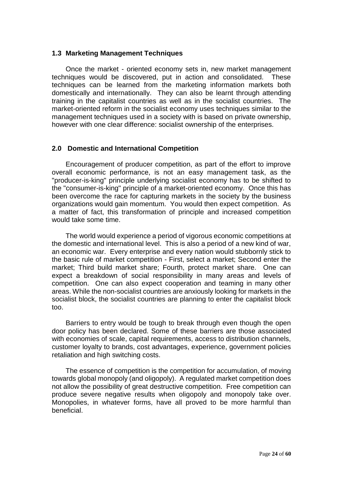#### **1.3 Marketing Management Techniques**

Once the market - oriented economy sets in, new market management techniques would be discovered, put in action and consolidated. These techniques can be learned from the marketing information markets both domestically and internationally. They can also be learnt through attending training in the capitalist countries as well as in the socialist countries. The market-oriented reform in the socialist economy uses techniques similar to the management techniques used in a society with is based on private ownership, however with one clear difference: socialist ownership of the enterprises.

#### **2.0 Domestic and International Competition**

Encouragement of producer competition, as part of the effort to improve overall economic performance, is not an easy management task, as the "producer-is-king" principle underlying socialist economy has to be shifted to the "consumer-is-king" principle of a market-oriented economy. Once this has been overcome the race for capturing markets in the society by the business organizations would gain momentum. You would then expect competition. As a matter of fact, this transformation of principle and increased competition would take some time.

The world would experience a period of vigorous economic competitions at the domestic and international level. This is also a period of a new kind of war, an economic war. Every enterprise and every nation would stubbornly stick to the basic rule of market competition - First, select a market; Second enter the market; Third build market share; Fourth, protect market share. One can expect a breakdown of social responsibility in many areas and levels of competition. One can also expect cooperation and teaming in many other areas. While the non-socialist countries are anxiously looking for markets in the socialist block, the socialist countries are planning to enter the capitalist block too.

Barriers to entry would be tough to break through even though the open door policy has been declared. Some of these barriers are those associated with economies of scale, capital requirements, access to distribution channels, customer loyalty to brands, cost advantages, experience, government policies retaliation and high switching costs.

The essence of competition is the competition for accumulation, of moving towards global monopoly (and oligopoly). A regulated market competition does not allow the possibility of great destructive competition. Free competition can produce severe negative results when oligopoly and monopoly take over. Monopolies, in whatever forms, have all proved to be more harmful than beneficial.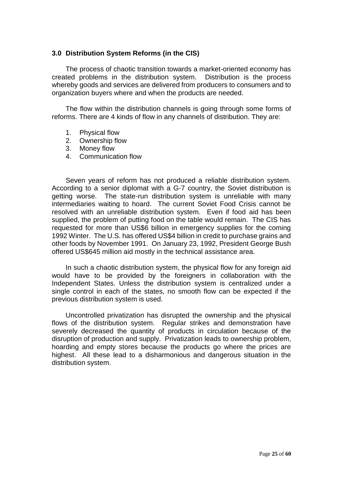#### **3.0 Distribution System Reforms (in the CIS)**

The process of chaotic transition towards a market-oriented economy has created problems in the distribution system. Distribution is the process whereby goods and services are delivered from producers to consumers and to organization buyers where and when the products are needed.

The flow within the distribution channels is going through some forms of reforms. There are 4 kinds of flow in any channels of distribution. They are:

- 1. Physical flow
- 2. Ownership flow
- 3. Money flow
- 4. Communication flow

Seven years of reform has not produced a reliable distribution system. According to a senior diplomat with a G-7 country, the Soviet distribution is getting worse. The state-run distribution system is unreliable with many intermediaries waiting to hoard. The current Soviet Food Crisis cannot be resolved with an unreliable distribution system. Even if food aid has been supplied, the problem of putting food on the table would remain. The CIS has requested for more than US\$6 billion in emergency supplies for the coming 1992 Winter. The U.S. has offered US\$4 billion in credit to purchase grains and other foods by November 1991. On January 23, 1992, President George Bush offered US\$645 million aid mostly in the technical assistance area.

In such a chaotic distribution system, the physical flow for any foreign aid would have to be provided by the foreigners in collaboration with the Independent States. Unless the distribution system is centralized under a single control in each of the states, no smooth flow can be expected if the previous distribution system is used.

Uncontrolled privatization has disrupted the ownership and the physical flows of the distribution system. Regular strikes and demonstration have severely decreased the quantity of products in circulation because of the disruption of production and supply. Privatization leads to ownership problem, hoarding and empty stores because the products go where the prices are highest. All these lead to a disharmonious and dangerous situation in the distribution system.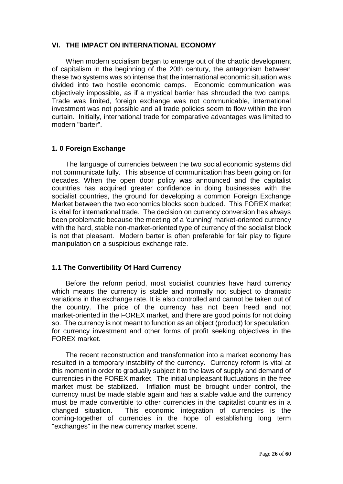#### **VI. THE IMPACT ON INTERNATIONAL ECONOMY**

When modern socialism began to emerge out of the chaotic development of capitalism in the beginning of the 20th century, the antagonism between these two systems was so intense that the international economic situation was divided into two hostile economic camps. Economic communication was objectively impossible, as if a mystical barrier has shrouded the two camps. Trade was limited, foreign exchange was not communicable, international investment was not possible and all trade policies seem to flow within the iron curtain. Initially, international trade for comparative advantages was limited to modern "barter".

### **1. 0 Foreign Exchange**

The language of currencies between the two social economic systems did not communicate fully. This absence of communication has been going on for decades. When the open door policy was announced and the capitalist countries has acquired greater confidence in doing businesses with the socialist countries, the ground for developing a common Foreign Exchange Market between the two economics blocks soon budded. This FOREX market is vital for international trade. The decision on currency conversion has always been problematic because the meeting of a 'cunning' market-oriented currency with the hard, stable non-market-oriented type of currency of the socialist block is not that pleasant. Modern barter is often preferable for fair play to figure manipulation on a suspicious exchange rate.

#### **1.1 The Convertibility Of Hard Currency**

Before the reform period, most socialist countries have hard currency which means the currency is stable and normally not subject to dramatic variations in the exchange rate. It is also controlled and cannot be taken out of the country. The price of the currency has not been freed and not market-oriented in the FOREX market, and there are good points for not doing so. The currency is not meant to function as an object (product) for speculation, for currency investment and other forms of profit seeking objectives in the FOREX market.

The recent reconstruction and transformation into a market economy has resulted in a temporary instability of the currency. Currency reform is vital at this moment in order to gradually subject it to the laws of supply and demand of currencies in the FOREX market. The initial unpleasant fluctuations in the free market must be stabilized. Inflation must be brought under control, the currency must be made stable again and has a stable value and the currency must be made convertible to other currencies in the capitalist countries in a changed situation. This economic integration of currencies is the coming-together of currencies in the hope of establishing long term "exchanges" in the new currency market scene.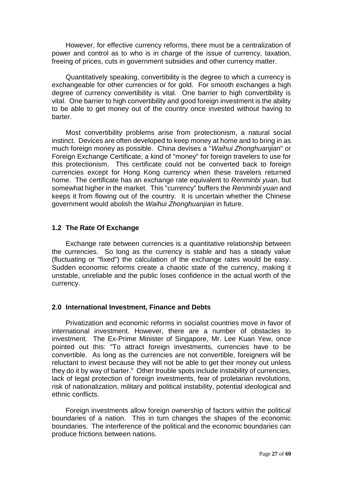However, for effective currency reforms, there must be a centralization of power and control as to who is in charge of the issue of currency, taxation, freeing of prices, cuts in government subsidies and other currency matter.

Quantitatively speaking, convertibility is the degree to which a currency is exchangeable for other currencies or for gold. For smooth exchanges a high degree of currency convertibility is vital. One barrier to high convertibility is vital. One barrier to high convertibility and good foreign investment is the ability to be able to get money out of the country once invested without having to barter.

Most convertibility problems arise from protectionism, a natural social instinct. Devices are often developed to keep money at home and to bring in as much foreign money as possible. China devises a "*Waihui Zhonghuanjian*" or Foreign Exchange Certificate, a kind of "money" for foreign travelers to use for this protectionism. This certificate could not be converted back to foreign currencies except for Hong Kong currency when these travelers returned home. The certificate has an exchange rate equivalent to *Renminbi yuan*, but somewhat higher in the market. This "currency" buffers the *Renminbi yuan* and keeps it from flowing out of the country. It is uncertain whether the Chinese government would abolish the *Waihui Zhonghuanjian* in future.

#### **1.2 The Rate Of Exchange**

Exchange rate between currencies is a quantitative relationship between the currencies. So long as the currency is stable and has a steady value (fluctuating or "fixed") the calculation of the exchange rates would be easy. Sudden economic reforms create a chaotic state of the currency, making it unstable, unreliable and the public loses confidence in the actual worth of the currency.

#### **2.0 International Investment, Finance and Debts**

Privatization and economic reforms in socialist countries move in favor of international investment. However, there are a number of obstacles to investment. The Ex-Prime Minister of Singapore, Mr. Lee Kuan Yew, once pointed out this: "To attract foreign investments, currencies have to be convertible. As long as the currencies are not convertible, foreigners will be reluctant to invest because they will not be able to get their money out unless they do it by way of barter." Other trouble spots include instability of currencies, lack of legal protection of foreign investments, fear of proletarian revolutions, risk of nationalization, military and political instability, potential ideological and ethnic conflicts.

Foreign investments allow foreign ownership of factors within the political boundaries of a nation. This in turn changes the shapes of the economic boundaries. The interference of the political and the economic boundaries can produce frictions between nations.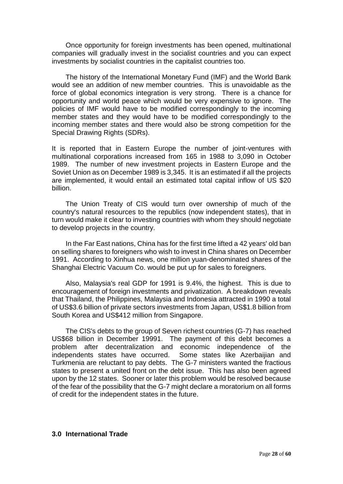Once opportunity for foreign investments has been opened, multinational companies will gradually invest in the socialist countries and you can expect investments by socialist countries in the capitalist countries too.

The history of the International Monetary Fund (IMF) and the World Bank would see an addition of new member countries. This is unavoidable as the force of global economics integration is very strong. There is a chance for opportunity and world peace which would be very expensive to ignore. The policies of IMF would have to be modified correspondingly to the incoming member states and they would have to be modified correspondingly to the incoming member states and there would also be strong competition for the Special Drawing Rights (SDRs).

It is reported that in Eastern Europe the number of joint-ventures with multinational corporations increased from 165 in 1988 to 3,090 in October 1989. The number of new investment projects in Eastern Europe and the Soviet Union as on December 1989 is 3,345. It is an estimated if all the projects are implemented, it would entail an estimated total capital inflow of US \$20 billion.

The Union Treaty of CIS would turn over ownership of much of the country's natural resources to the republics (now independent states), that in turn would make it clear to investing countries with whom they should negotiate to develop projects in the country.

In the Far East nations, China has for the first time lifted a 42 years' old ban on selling shares to foreigners who wish to invest in China shares on December 1991. According to Xinhua news, one million yuan-denominated shares of the Shanghai Electric Vacuum Co. would be put up for sales to foreigners.

Also, Malaysia's real GDP for 1991 is 9.4%, the highest. This is due to encouragement of foreign investments and privatization. A breakdown reveals that Thailand, the Philippines, Malaysia and Indonesia attracted in 1990 a total of US\$3.6 billion of private sectors investments from Japan, US\$1.8 billion from South Korea and US\$412 million from Singapore.

The CIS's debts to the group of Seven richest countries (G-7) has reached US\$68 billion in December 19991. The payment of this debt becomes a problem after decentralization and economic independence of the independents states have occurred. Some states like Azerbaijian and Turkmenia are reluctant to pay debts. The G-7 ministers wanted the fractious states to present a united front on the debt issue. This has also been agreed upon by the 12 states. Sooner or later this problem would be resolved because of the fear of the possibility that the G-7 might declare a moratorium on all forms of credit for the independent states in the future.

#### **3.0 International Trade**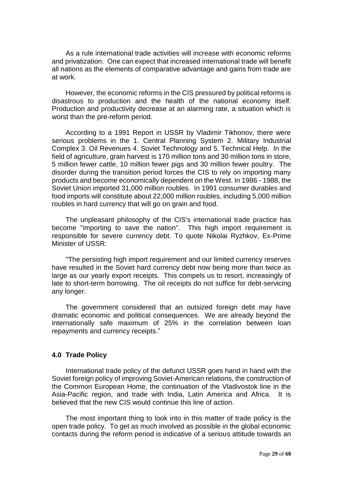As a rule international trade activities will increase with economic reforms and privatization. One can expect that increased international trade will benefit all nations as the elements of comparative advantage and gains from trade are at work.

However, the economic reforms in the CIS pressured by political reforms is disastrous to production and the health of the national economy itself. Production and productivity decrease at an alarming rate, a situation which is worst than the pre-reform period.

According to a 1991 Report in USSR by Vladimir Tikhonov, there were serious problems in the 1. Central Planning System 2. Military Industrial Complex 3. Oil Revenues 4. Soviet Technology and 5. Technical Help. In the field of agriculture, grain harvest is 170 million tons and 30 million tons in store, 5 million fewer cattle, 10 million fewer pigs and 30 million fewer poultry. The disorder during the transition period forces the CIS to rely on importing many products and become economically dependent on the West. In 1986 - 1988, the Soviet Union imported 31,000 million roubles. In 1991 consumer durables and food imports will constitute about 22,000 million roubles, including 5,000 million roubles in hard currency that will go on grain and food.

The unpleasant philosophy of the CIS's international trade practice has become "importing to save the nation". This high import requirement is responsible for severe currency debt. To quote Nikolai Ryzhkov, Ex-Prime Minister of USSR:

"The persisting high import requirement and our limited currency reserves have resulted in the Soviet hard currency debt now being more than twice as large as our yearly export receipts. This compels us to resort, increasingly of late to short-term borrowing. The oil receipts do not suffice for debt-servicing any longer.

The government considered that an outsized foreign debt may have dramatic economic and political consequences. We are already beyond the internationally safe maximum of 25% in the correlation between loan repayments and currency receipts."

#### **4.0 Trade Policy**

International trade policy of the defunct USSR goes hand in hand with the Soviet foreign policy of improving Soviet-American relations, the construction of the Common European Home, the continuation of the Vladivostok line in the Asia-Pacific region, and trade with India, Latin America and Africa. It is believed that the new CIS would continue this line of action.

The most important thing to look into in this matter of trade policy is the open trade policy. To get as much involved as possible in the global economic contacts during the reform period is indicative of a serious attitude towards an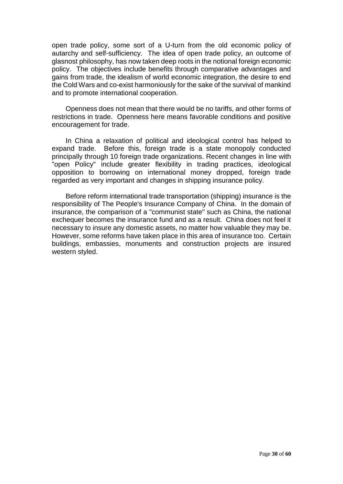open trade policy, some sort of a U-turn from the old economic policy of autarchy and self-sufficiency. The idea of open trade policy, an outcome of glasnost philosophy, has now taken deep roots in the notional foreign economic policy. The objectives include benefits through comparative advantages and gains from trade, the idealism of world economic integration, the desire to end the Cold Wars and co-exist harmoniously for the sake of the survival of mankind and to promote international cooperation.

Openness does not mean that there would be no tariffs, and other forms of restrictions in trade. Openness here means favorable conditions and positive encouragement for trade.

In China a relaxation of political and ideological control has helped to expand trade. Before this, foreign trade is a state monopoly conducted principally through 10 foreign trade organizations. Recent changes in line with "open Policy" include greater flexibility in trading practices, ideological opposition to borrowing on international money dropped, foreign trade regarded as very important and changes in shipping insurance policy.

Before reform international trade transportation (shipping) insurance is the responsibility of The People's Insurance Company of China. In the domain of insurance, the comparison of a "communist state" such as China, the national exchequer becomes the insurance fund and as a result. China does not feel it necessary to insure any domestic assets, no matter how valuable they may be. However, some reforms have taken place in this area of insurance too. Certain buildings, embassies, monuments and construction projects are insured western styled.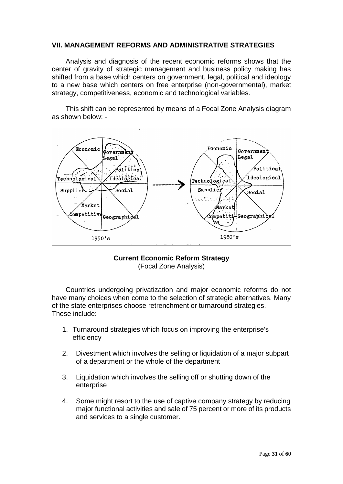#### **VII. MANAGEMENT REFORMS AND ADMINISTRATIVE STRATEGIES**

Analysis and diagnosis of the recent economic reforms shows that the center of gravity of strategic management and business policy making has shifted from a base which centers on government, legal, political and ideology to a new base which centers on free enterprise (non-governmental), market strategy, competitiveness, economic and technological variables.

This shift can be represented by means of a Focal Zone Analysis diagram as shown below: -



#### **Current Economic Reform Strategy** (Focal Zone Analysis)

Countries undergoing privatization and major economic reforms do not have many choices when come to the selection of strategic alternatives. Many of the state enterprises choose retrenchment or turnaround strategies. These include:

- 1. Turnaround strategies which focus on improving the enterprise's efficiency
- 2. Divestment which involves the selling or liquidation of a major subpart of a department or the whole of the department
- 3. Liquidation which involves the selling off or shutting down of the enterprise
- 4. Some might resort to the use of captive company strategy by reducing major functional activities and sale of 75 percent or more of its products and services to a single customer.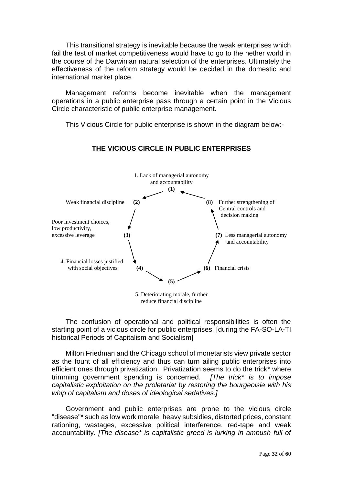This transitional strategy is inevitable because the weak enterprises which fail the test of market competitiveness would have to go to the nether world in the course of the Darwinian natural selection of the enterprises. Ultimately the effectiveness of the reform strategy would be decided in the domestic and international market place.

Management reforms become inevitable when the management operations in a public enterprise pass through a certain point in the Vicious Circle characteristic of public enterprise management.

This Vicious Circle for public enterprise is shown in the diagram below:-

### **THE VICIOUS CIRCLE IN PUBLIC ENTERPRISES**



5. Deteriorating morale, further reduce financial discipline

The confusion of operational and political responsibilities is often the starting point of a vicious circle for public enterprises. [during the FA-SO-LA-TI historical Periods of Capitalism and Socialism]

Milton Friedman and the Chicago school of monetarists view private sector as the fount of all efficiency and thus can turn ailing public enterprises into efficient ones through privatization. Privatization seems to do the trick\* where trimming government spending is concerned. *[The trick\* is to impose capitalistic exploitation on the proletariat by restoring the bourgeoisie with his whip of capitalism and doses of ideological sedatives.]*

Government and public enterprises are prone to the vicious circle "disease"\* such as low work morale, heavy subsidies, distorted prices, constant rationing, wastages, excessive political interference, red-tape and weak accountability. *[The disease\* is capitalistic greed is lurking in ambush full of*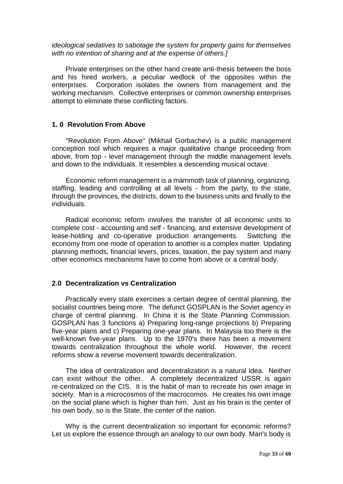*ideological sedatives to sabotage the system for property gains for themselves with no intention of sharing and at the expense of others.]*

Private enterprises on the other hand create anti-thesis between the boss and his hired workers, a peculiar wedlock of the opposites within the enterprises. Corporation isolates the owners from management and the working mechanism. Collective enterprises or common ownership enterprises attempt to eliminate these conflicting factors.

#### **1. 0 Revolution From Above**

"Revolution From Above" (Mikhail Gorbachev) is a public management conception tool which requires a major qualitative change proceeding from above, from top - level management through the middle management levels and down to the individuals. It resembles a descending musical octave.

Economic reform management is a mammoth task of planning, organizing, staffing, leading and controlling at all levels - from the party, to the state, through the provinces, the districts, down to the business units and finally to the individuals.

Radical economic reform involves the transfer of all economic units to complete cost - accounting and self - financing, and extensive development of lease-holding and co-operative production arrangements. Switching the economy from one mode of operation to another is a complex matter. Updating planning methods, financial levers, prices, taxation, the pay system and many other economics mechanisms have to come from above or a central body.

#### **2.0 Decentralization vs Centralization**

Practically every state exercises a certain degree of central planning, the socialist countries being more. The defunct GOSPLAN is the Soviet agency in charge of central planning. In China it is the State Planning Commission. GOSPLAN has 3 functions a) Preparing long-range projections b) Preparing five-year plans and c) Preparing one-year plans. In Malaysia too there is the well-known five-year plans. Up to the 1970's there has been a movement towards centralization throughout the whole world. However, the recent reforms show a reverse movement towards decentralization.

The idea of centralization and decentralization is a natural idea. Neither can exist without the other. A completely decentralized USSR is again re-centralized on the CIS. It is the habit of man to recreate his own image in society. Man is a microcosmos of the macrocomos. He creates his own image on the social plane which is higher than him. Just as his brain is the center of his own body, so is the State, the center of the nation.

Why is the current decentralization so important for economic reforms? Let us explore the essence through an analogy to our own body. Man's body is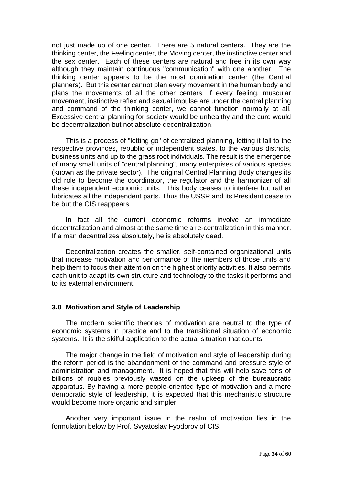not just made up of one center. There are 5 natural centers. They are the thinking center, the Feeling center, the Moving center, the instinctive center and the sex center. Each of these centers are natural and free in its own way although they maintain continuous "communication" with one another. The thinking center appears to be the most domination center (the Central planners). But this center cannot plan every movement in the human body and plans the movements of all the other centers. If every feeling, muscular movement, instinctive reflex and sexual impulse are under the central planning and command of the thinking center, we cannot function normally at all. Excessive central planning for society would be unhealthy and the cure would be decentralization but not absolute decentralization.

This is a process of "letting go" of centralized planning, letting it fall to the respective provinces, republic or independent states, to the various districts, business units and up to the grass root individuals. The result is the emergence of many small units of "central planning", many enterprises of various species (known as the private sector). The original Central Planning Body changes its old role to become the coordinator, the regulator and the harmonizer of all these independent economic units. This body ceases to interfere but rather lubricates all the independent parts. Thus the USSR and its President cease to be but the CIS reappears.

In fact all the current economic reforms involve an immediate decentralization and almost at the same time a re-centralization in this manner. If a man decentralizes absolutely, he is absolutely dead.

Decentralization creates the smaller, self-contained organizational units that increase motivation and performance of the members of those units and help them to focus their attention on the highest priority activities. It also permits each unit to adapt its own structure and technology to the tasks it performs and to its external environment.

#### **3.0 Motivation and Style of Leadership**

The modern scientific theories of motivation are neutral to the type of economic systems in practice and to the transitional situation of economic systems. It is the skilful application to the actual situation that counts.

The major change in the field of motivation and style of leadership during the reform period is the abandonment of the command and pressure style of administration and management. It is hoped that this will help save tens of billions of roubles previously wasted on the upkeep of the bureaucratic apparatus. By having a more people-oriented type of motivation and a more democratic style of leadership, it is expected that this mechanistic structure would become more organic and simpler.

Another very important issue in the realm of motivation lies in the formulation below by Prof. Svyatoslav Fyodorov of CIS: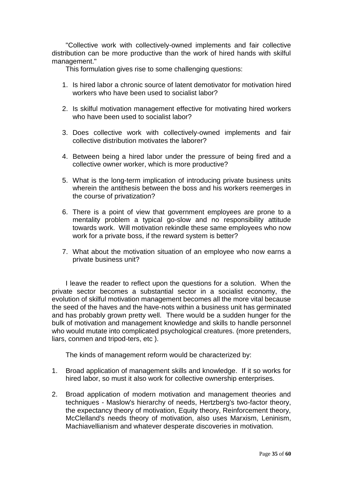"Collective work with collectively-owned implements and fair collective distribution can be more productive than the work of hired hands with skilful management."

This formulation gives rise to some challenging questions:

- 1. Is hired labor a chronic source of latent demotivator for motivation hired workers who have been used to socialist labor?
- 2. Is skilful motivation management effective for motivating hired workers who have been used to socialist labor?
- 3. Does collective work with collectively-owned implements and fair collective distribution motivates the laborer?
- 4. Between being a hired labor under the pressure of being fired and a collective owner worker, which is more productive?
- 5. What is the long-term implication of introducing private business units wherein the antithesis between the boss and his workers reemerges in the course of privatization?
- 6. There is a point of view that government employees are prone to a mentality problem a typical go-slow and no responsibility attitude towards work. Will motivation rekindle these same employees who now work for a private boss, if the reward system is better?
- 7. What about the motivation situation of an employee who now earns a private business unit?

I leave the reader to reflect upon the questions for a solution. When the private sector becomes a substantial sector in a socialist economy, the evolution of skilful motivation management becomes all the more vital because the seed of the haves and the have-nots within a business unit has germinated and has probably grown pretty well. There would be a sudden hunger for the bulk of motivation and management knowledge and skills to handle personnel who would mutate into complicated psychological creatures. (more pretenders, liars, conmen and tripod-ters, etc ).

The kinds of management reform would be characterized by:

- 1. Broad application of management skills and knowledge. If it so works for hired labor, so must it also work for collective ownership enterprises.
- 2. Broad application of modern motivation and management theories and techniques - Maslow's hierarchy of needs, Hertzberg's two-factor theory, the expectancy theory of motivation, Equity theory, Reinforcement theory, McClelland's needs theory of motivation, also uses Marxism, Leninism, Machiavellianism and whatever desperate discoveries in motivation.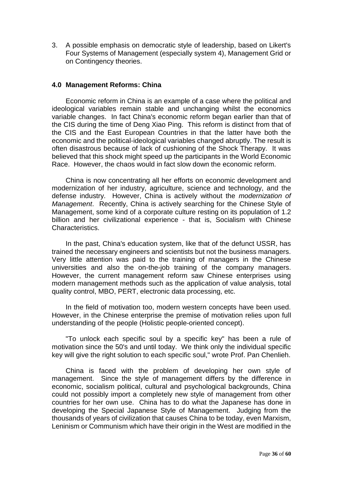3. A possible emphasis on democratic style of leadership, based on Likert's Four Systems of Management (especially system 4), Management Grid or on Contingency theories.

#### **4.0 Management Reforms: China**

Economic reform in China is an example of a case where the political and ideological variables remain stable and unchanging whilst the economics variable changes. In fact China's economic reform began earlier than that of the CIS during the time of Deng Xiao Ping. This reform is distinct from that of the CIS and the East European Countries in that the latter have both the economic and the political-ideological variables changed abruptly. The result is often disastrous because of lack of cushioning of the Shock Therapy. It was believed that this shock might speed up the participants in the World Economic Race. However, the chaos would in fact slow down the economic reform.

China is now concentrating all her efforts on economic development and modernization of her industry, agriculture, science and technology, and the defense industry. However, China is actively without the *modernization of Management*. Recently, China is actively searching for the Chinese Style of Management, some kind of a corporate culture resting on its population of 1.2 billion and her civilizational experience - that is, Socialism with Chinese Characteristics.

In the past, China's education system, like that of the defunct USSR, has trained the necessary engineers and scientists but not the business managers. Very little attention was paid to the training of managers in the Chinese universities and also the on-the-job training of the company managers. However, the current management reform saw Chinese enterprises using modern management methods such as the application of value analysis, total quality control, MBO, PERT, electronic data processing, etc.

In the field of motivation too, modern western concepts have been used. However, in the Chinese enterprise the premise of motivation relies upon full understanding of the people (Holistic people-oriented concept).

"To unlock each specific soul by a specific key" has been a rule of motivation since the 50's and until today. We think only the individual specific key will give the right solution to each specific soul," wrote Prof. Pan Chenlieh.

China is faced with the problem of developing her own style of management. Since the style of management differs by the difference in economic, socialism political, cultural and psychological backgrounds, China could not possibly import a completely new style of management from other countries for her own use. China has to do what the Japanese has done in developing the Special Japanese Style of Management. Judging from the thousands of years of civilization that causes China to be today, even Marxism, Leninism or Communism which have their origin in the West are modified in the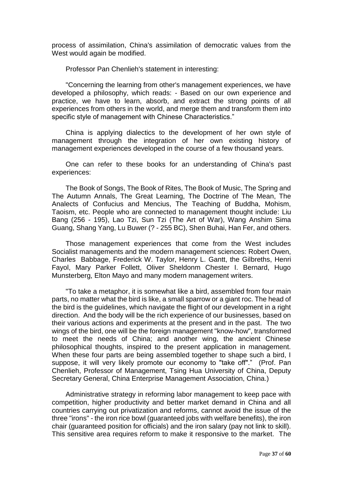process of assimilation, China's assimilation of democratic values from the West would again be modified.

Professor Pan Chenlieh's statement in interesting:

"Concerning the learning from other's management experiences, we have developed a philosophy, which reads: - Based on our own experience and practice, we have to learn, absorb, and extract the strong points of all experiences from others in the world, and merge them and transform them into specific style of management with Chinese Characteristics."

China is applying dialectics to the development of her own style of management through the integration of her own existing history of management experiences developed in the course of a few thousand years.

One can refer to these books for an understanding of China's past experiences:

The Book of Songs, The Book of Rites, The Book of Music, The Spring and The Autumn Annals, The Great Learning, The Doctrine of The Mean, The Analects of Confucius and Mencius, The Teaching of Buddha, Mohism, Taoism, etc. People who are connected to management thought include: Liu Bang (256 - 195), Lao Tzi, Sun Tzi (The Art of War), Wang Anshim Sima Guang, Shang Yang, Lu Buwer (? - 255 BC), Shen Buhai, Han Fer, and others.

Those management experiences that come from the West includes Socialist managements and the modern management sciences: Robert Owen, Charles Babbage, Frederick W. Taylor, Henry L. Gantt, the Gilbreths, Henri Fayol, Mary Parker Follett, Oliver Sheldonm Chester I. Bernard, Hugo Munsterberg, Elton Mayo and many modern management writers.

"To take a metaphor, it is somewhat like a bird, assembled from four main parts, no matter what the bird is like, a small sparrow or a giant roc. The head of the bird is the guidelines, which navigate the flight of our development in a right direction. And the body will be the rich experience of our businesses, based on their various actions and experiments at the present and in the past. The two wings of the bird, one will be the foreign management "know-how", transformed to meet the needs of China; and another wing, the ancient Chinese philosophical thoughts, inspired to the present application in management. When these four parts are being assembled together to shape such a bird, I suppose, it will very likely promote our economy to "take off"." (Prof. Pan Chenlieh, Professor of Management, Tsing Hua University of China, Deputy Secretary General, China Enterprise Management Association, China.)

Administrative strategy in reforming labor management to keep pace with competition, higher productivity and better market demand in China and all countries carrying out privatization and reforms, cannot avoid the issue of the three "irons" - the iron rice bowl (guaranteed jobs with welfare benefits), the iron chair (guaranteed position for officials) and the iron salary (pay not link to skill). This sensitive area requires reform to make it responsive to the market. The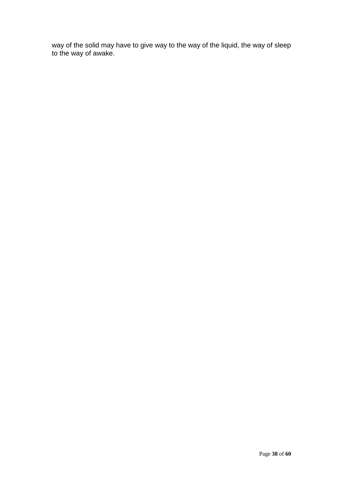way of the solid may have to give way to the way of the liquid, the way of sleep to the way of awake.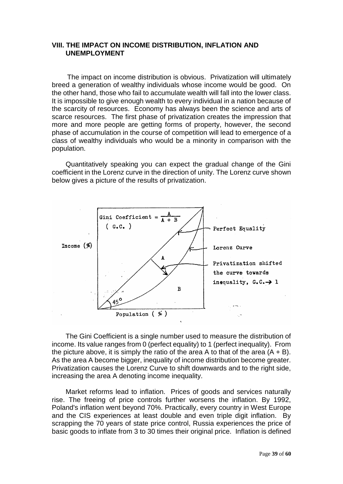#### **VIII. THE IMPACT ON INCOME DISTRIBUTION, INFLATION AND UNEMPLOYMENT**

 The impact on income distribution is obvious. Privatization will ultimately breed a generation of wealthy individuals whose income would be good. On the other hand, those who fail to accumulate wealth will fall into the lower class. It is impossible to give enough wealth to every individual in a nation because of the scarcity of resources. Economy has always been the science and arts of scarce resources. The first phase of privatization creates the impression that more and more people are getting forms of property, however, the second phase of accumulation in the course of competition will lead to emergence of a class of wealthy individuals who would be a minority in comparison with the population.

Quantitatively speaking you can expect the gradual change of the Gini coefficient in the Lorenz curve in the direction of unity. The Lorenz curve shown below gives a picture of the results of privatization.



The Gini Coefficient is a single number used to measure the distribution of income. Its value ranges from 0 (perfect equality) to 1 (perfect inequality). From the picture above, it is simply the ratio of the area A to that of the area  $(A + B)$ . As the area A become bigger, inequality of income distribution become greater. Privatization causes the Lorenz Curve to shift downwards and to the right side, increasing the area A denoting income inequality.

Market reforms lead to inflation. Prices of goods and services naturally rise. The freeing of price controls further worsens the inflation. By 1992, Poland's inflation went beyond 70%. Practically, every country in West Europe and the CIS experiences at least double and even triple digit inflation. By scrapping the 70 years of state price control, Russia experiences the price of basic goods to inflate from 3 to 30 times their original price. Inflation is defined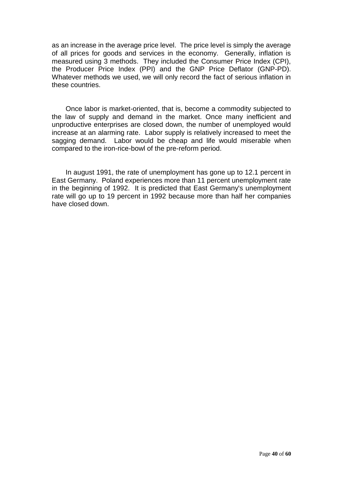as an increase in the average price level. The price level is simply the average of all prices for goods and services in the economy. Generally, inflation is measured using 3 methods. They included the Consumer Price Index (CPI), the Producer Price Index (PPI) and the GNP Price Deflator (GNP-PD). Whatever methods we used, we will only record the fact of serious inflation in these countries.

Once labor is market-oriented, that is, become a commodity subjected to the law of supply and demand in the market. Once many inefficient and unproductive enterprises are closed down, the number of unemployed would increase at an alarming rate. Labor supply is relatively increased to meet the sagging demand. Labor would be cheap and life would miserable when compared to the iron-rice-bowl of the pre-reform period.

In august 1991, the rate of unemployment has gone up to 12.1 percent in East Germany. Poland experiences more than 11 percent unemployment rate in the beginning of 1992. It is predicted that East Germany's unemployment rate will go up to 19 percent in 1992 because more than half her companies have closed down.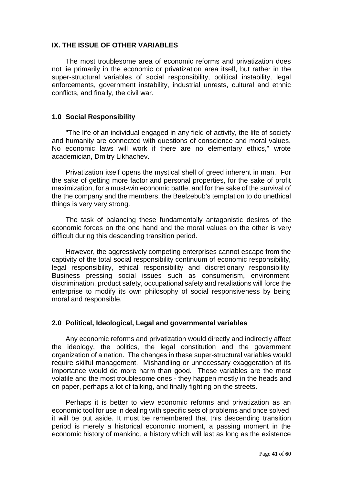#### **IX. THE ISSUE OF OTHER VARIABLES**

The most troublesome area of economic reforms and privatization does not lie primarily in the economic or privatization area itself, but rather in the super-structural variables of social responsibility, political instability, legal enforcements, government instability, industrial unrests, cultural and ethnic conflicts, and finally, the civil war.

#### **1.0 Social Responsibility**

"The life of an individual engaged in any field of activity, the life of society and humanity are connected with questions of conscience and moral values. No economic laws will work if there are no elementary ethics," wrote academician, Dmitry Likhachev.

Privatization itself opens the mystical shell of greed inherent in man. For the sake of getting more factor and personal properties, for the sake of profit maximization, for a must-win economic battle, and for the sake of the survival of the the company and the members, the Beelzebub's temptation to do unethical things is very very strong.

The task of balancing these fundamentally antagonistic desires of the economic forces on the one hand and the moral values on the other is very difficult during this descending transition period.

However, the aggressively competing enterprises cannot escape from the captivity of the total social responsibility continuum of economic responsibility, legal responsibility, ethical responsibility and discretionary responsibility. Business pressing social issues such as consumerism, environment, discrimination, product safety, occupational safety and retaliations will force the enterprise to modify its own philosophy of social responsiveness by being moral and responsible.

#### **2.0 Political, Ideological, Legal and governmental variables**

Any economic reforms and privatization would directly and indirectly affect the ideology, the politics, the legal constitution and the government organization of a nation. The changes in these super-structural variables would require skilful management. Mishandling or unnecessary exaggeration of its importance would do more harm than good. These variables are the most volatile and the most troublesome ones - they happen mostly in the heads and on paper, perhaps a lot of talking, and finally fighting on the streets.

Perhaps it is better to view economic reforms and privatization as an economic tool for use in dealing with specific sets of problems and once solved, it will be put aside. It must be remembered that this descending transition period is merely a historical economic moment, a passing moment in the economic history of mankind, a history which will last as long as the existence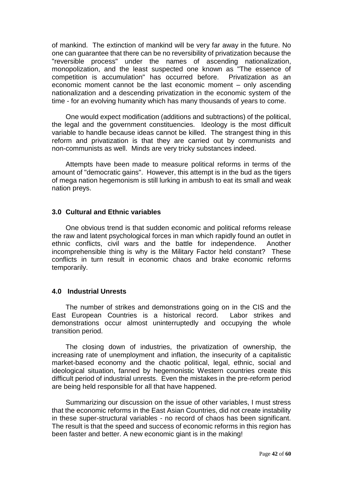of mankind. The extinction of mankind will be very far away in the future. No one can guarantee that there can be no reversibility of privatization because the "reversible process" under the names of ascending nationalization, monopolization, and the least suspected one known as "The essence of competition is accumulation" has occurred before. Privatization as an economic moment cannot be the last economic moment – only ascending nationalization and a descending privatization in the economic system of the time - for an evolving humanity which has many thousands of years to come.

One would expect modification (additions and subtractions) of the political, the legal and the government constituencies. Ideology is the most difficult variable to handle because ideas cannot be killed. The strangest thing in this reform and privatization is that they are carried out by communists and non-communists as well. Minds are very tricky substances indeed.

Attempts have been made to measure political reforms in terms of the amount of "democratic gains". However, this attempt is in the bud as the tigers of mega nation hegemonism is still lurking in ambush to eat its small and weak nation preys.

#### **3.0 Cultural and Ethnic variables**

One obvious trend is that sudden economic and political reforms release the raw and latent psychological forces in man which rapidly found an outlet in ethnic conflicts, civil wars and the battle for independence. Another incomprehensible thing is why is the Military Factor held constant? These conflicts in turn result in economic chaos and brake economic reforms temporarily.

#### **4.0 Industrial Unrests**

The number of strikes and demonstrations going on in the CIS and the East European Countries is a historical record. Labor strikes and demonstrations occur almost uninterruptedly and occupying the whole transition period.

The closing down of industries, the privatization of ownership, the increasing rate of unemployment and inflation, the insecurity of a capitalistic market-based economy and the chaotic political, legal, ethnic, social and ideological situation, fanned by hegemonistic Western countries create this difficult period of industrial unrests. Even the mistakes in the pre-reform period are being held responsible for all that have happened.

Summarizing our discussion on the issue of other variables, I must stress that the economic reforms in the East Asian Countries, did not create instability in these super-structural variables - no record of chaos has been significant. The result is that the speed and success of economic reforms in this region has been faster and better. A new economic giant is in the making!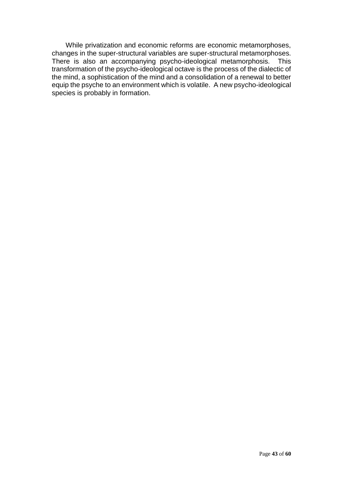While privatization and economic reforms are economic metamorphoses, changes in the super-structural variables are super-structural metamorphoses. There is also an accompanying psycho-ideological metamorphosis. This transformation of the psycho-ideological octave is the process of the dialectic of the mind, a sophistication of the mind and a consolidation of a renewal to better equip the psyche to an environment which is volatile. A new psycho-ideological species is probably in formation.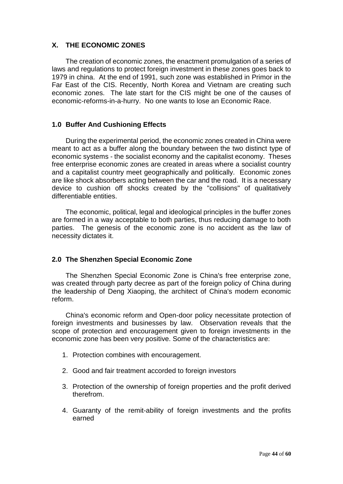## **X. THE ECONOMIC ZONES**

The creation of economic zones, the enactment promulgation of a series of laws and regulations to protect foreign investment in these zones goes back to 1979 in china. At the end of 1991, such zone was established in Primor in the Far East of the CIS. Recently, North Korea and Vietnam are creating such economic zones. The late start for the CIS might be one of the causes of economic-reforms-in-a-hurry. No one wants to lose an Economic Race.

#### **1.0 Buffer And Cushioning Effects**

During the experimental period, the economic zones created in China were meant to act as a buffer along the boundary between the two distinct type of economic systems - the socialist economy and the capitalist economy. Theses free enterprise economic zones are created in areas where a socialist country and a capitalist country meet geographically and politically. Economic zones are like shock absorbers acting between the car and the road. It is a necessary device to cushion off shocks created by the "collisions" of qualitatively differentiable entities.

The economic, political, legal and ideological principles in the buffer zones are formed in a way acceptable to both parties, thus reducing damage to both parties. The genesis of the economic zone is no accident as the law of necessity dictates it.

#### **2.0 The Shenzhen Special Economic Zone**

The Shenzhen Special Economic Zone is China's free enterprise zone, was created through party decree as part of the foreign policy of China during the leadership of Deng Xiaoping, the architect of China's modern economic reform.

China's economic reform and Open-door policy necessitate protection of foreign investments and businesses by law. Observation reveals that the scope of protection and encouragement given to foreign investments in the economic zone has been very positive. Some of the characteristics are:

- 1. Protection combines with encouragement.
- 2. Good and fair treatment accorded to foreign investors
- 3. Protection of the ownership of foreign properties and the profit derived therefrom.
- 4. Guaranty of the remit-ability of foreign investments and the profits earned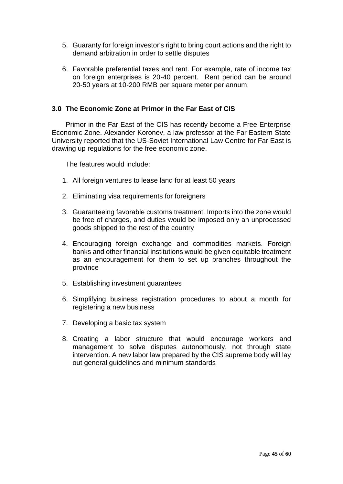- 5. Guaranty for foreign investor's right to bring court actions and the right to demand arbitration in order to settle disputes
- 6. Favorable preferential taxes and rent. For example, rate of income tax on foreign enterprises is 20-40 percent. Rent period can be around 20-50 years at 10-200 RMB per square meter per annum.

#### **3.0 The Economic Zone at Primor in the Far East of CIS**

Primor in the Far East of the CIS has recently become a Free Enterprise Economic Zone. Alexander Koronev, a law professor at the Far Eastern State University reported that the US-Soviet International Law Centre for Far East is drawing up regulations for the free economic zone.

The features would include:

- 1. All foreign ventures to lease land for at least 50 years
- 2. Eliminating visa requirements for foreigners
- 3. Guaranteeing favorable customs treatment. Imports into the zone would be free of charges, and duties would be imposed only an unprocessed goods shipped to the rest of the country
- 4. Encouraging foreign exchange and commodities markets. Foreign banks and other financial institutions would be given equitable treatment as an encouragement for them to set up branches throughout the province
- 5. Establishing investment guarantees
- 6. Simplifying business registration procedures to about a month for registering a new business
- 7. Developing a basic tax system
- 8. Creating a labor structure that would encourage workers and management to solve disputes autonomously, not through state intervention. A new labor law prepared by the CIS supreme body will lay out general guidelines and minimum standards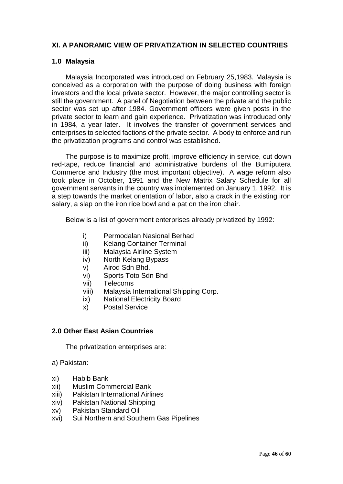## **XI. A PANORAMIC VIEW OF PRIVATIZATION IN SELECTED COUNTRIES**

#### **1.0 Malaysia**

Malaysia Incorporated was introduced on February 25,1983. Malaysia is conceived as a corporation with the purpose of doing business with foreign investors and the local private sector. However, the major controlling sector is still the government. A panel of Negotiation between the private and the public sector was set up after 1984. Government officers were given posts in the private sector to learn and gain experience. Privatization was introduced only in 1984, a year later. It involves the transfer of government services and enterprises to selected factions of the private sector. A body to enforce and run the privatization programs and control was established.

The purpose is to maximize profit, improve efficiency in service, cut down red-tape, reduce financial and administrative burdens of the Bumiputera Commerce and Industry (the most important objective). A wage reform also took place in October, 1991 and the New Matrix Salary Schedule for all government servants in the country was implemented on January 1, 1992. It is a step towards the market orientation of labor, also a crack in the existing iron salary, a slap on the iron rice bowl and a pat on the iron chair.

Below is a list of government enterprises already privatized by 1992:

- i) Permodalan Nasional Berhad
- ii) Kelang Container Terminal
- iii) Malaysia Airline System
- iv) North Kelang Bypass
- v) Airod Sdn Bhd.
- vi) Sports Toto Sdn Bhd
- vii) Telecoms
- viii) Malaysia International Shipping Corp.
- ix) National Electricity Board
- x) Postal Service

#### **2.0 Other East Asian Countries**

The privatization enterprises are:

a) Pakistan:

- xi) Habib Bank
- xii) Muslim Commercial Bank
- xiii) Pakistan International Airlines
- xiv) Pakistan National Shipping
- xv) Pakistan Standard Oil
- xvi) Sui Northern and Southern Gas Pipelines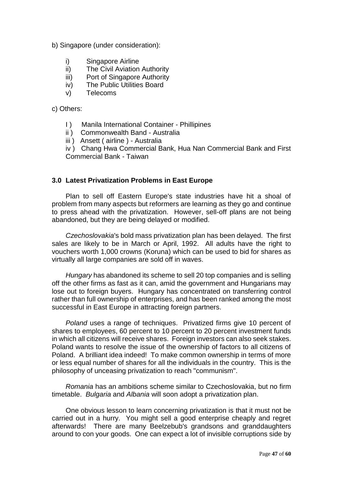b) Singapore (under consideration):

- i) Singapore Airline
- ii) The Civil Aviation Authority
- iii) Port of Singapore Authority
- iv) The Public Utilities Board
- v) Telecoms

c) Others:

- I ) Manila International Container Phillipines
- ii) Commonwealth Band Australia
- iii ) Ansett ( airline ) Australia

iv ) Chang Hwa Commercial Bank, Hua Nan Commercial Bank and First Commercial Bank - Taiwan

### **3.0 Latest Privatization Problems in East Europe**

Plan to sell off Eastern Europe's state industries have hit a shoal of problem from many aspects but reformers are learning as they go and continue to press ahead with the privatization. However, sell-off plans are not being abandoned, but they are being delayed or modified.

*Czechoslovakia*'s bold mass privatization plan has been delayed. The first sales are likely to be in March or April, 1992. All adults have the right to vouchers worth 1,000 crowns (Koruna) which can be used to bid for shares as virtually all large companies are sold off in waves.

*Hungary* has abandoned its scheme to sell 20 top companies and is selling off the other firms as fast as it can, amid the government and Hungarians may lose out to foreign buyers. Hungary has concentrated on transferring control rather than full ownership of enterprises, and has been ranked among the most successful in East Europe in attracting foreign partners.

*Poland* uses a range of techniques. Privatized firms give 10 percent of shares to employees, 60 percent to 10 percent to 20 percent investment funds in which all citizens will receive shares. Foreign investors can also seek stakes. Poland wants to resolve the issue of the ownership of factors to all citizens of Poland. A brilliant idea indeed! To make common ownership in terms of more or less equal number of shares for all the individuals in the country. This is the philosophy of unceasing privatization to reach "communism".

*Romania* has an ambitions scheme similar to Czechoslovakia, but no firm timetable. *Bulgaria* and *Albania* will soon adopt a privatization plan.

One obvious lesson to learn concerning privatization is that it must not be carried out in a hurry. You might sell a good enterprise cheaply and regret afterwards! There are many Beelzebub's grandsons and granddaughters around to con your goods. One can expect a lot of invisible corruptions side by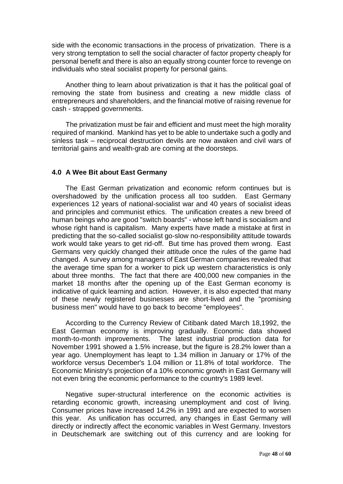side with the economic transactions in the process of privatization. There is a very strong temptation to sell the social character of factor property cheaply for personal benefit and there is also an equally strong counter force to revenge on individuals who steal socialist property for personal gains.

Another thing to learn about privatization is that it has the political goal of removing the state from business and creating a new middle class of entrepreneurs and shareholders, and the financial motive of raising revenue for cash - strapped governments.

The privatization must be fair and efficient and must meet the high morality required of mankind. Mankind has yet to be able to undertake such a godly and sinless task – reciprocal destruction devils are now awaken and civil wars of territorial gains and wealth-grab are coming at the doorsteps.

#### **4.0 A Wee Bit about East Germany**

The East German privatization and economic reform continues but is overshadowed by the unification process all too sudden. East Germany experiences 12 years of national-socialist war and 40 years of socialist ideas and principles and communist ethics. The unification creates a new breed of human beings who are good "switch boards" - whose left hand is socialism and whose right hand is capitalism. Many experts have made a mistake at first in predicting that the so-called socialist go-slow no-responsibility attitude towards work would take years to get rid-off. But time has proved them wrong. East Germans very quickly changed their attitude once the rules of the game had changed. A survey among managers of East German companies revealed that the average time span for a worker to pick up western characteristics is only about three months. The fact that there are 400,000 new companies in the market 18 months after the opening up of the East German economy is indicative of quick learning and action. However, it is also expected that many of these newly registered businesses are short-lived and the "promising business men" would have to go back to become "employees".

According to the Currency Review of Citibank dated March 18,1992, the East German economy is improving gradually. Economic data showed month-to-month improvements. The latest industrial production data for November 1991 showed a 1.5% increase, but the figure is 28.2% lower than a year ago. Unemployment has leapt to 1.34 million in January or 17% of the workforce versus December's 1.04 million or 11.8% of total workforce. The Economic Ministry's projection of a 10% economic growth in East Germany will not even bring the economic performance to the country's 1989 level.

Negative super-structural interference on the economic activities is retarding economic growth, increasing unemployment and cost of living. Consumer prices have increased 14.2% in 1991 and are expected to worsen this year. As unification has occurred, any changes in East Germany will directly or indirectly affect the economic variables in West Germany. Investors in Deutschemark are switching out of this currency and are looking for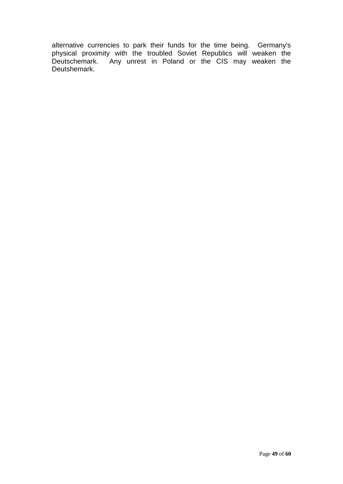alternative currencies to park their funds for the time being. Germany's physical proximity with the troubled Soviet Republics will weaken the Deutschemark. Any unrest in Poland or the CIS may weaken the Deutshemark.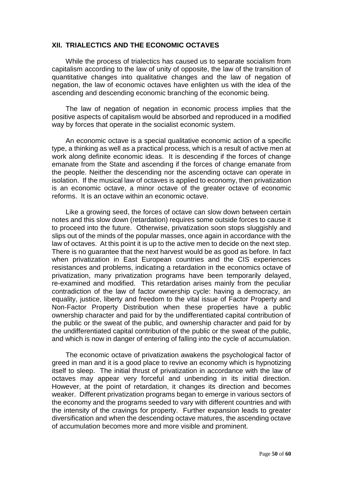#### **XII. TRIALECTICS AND THE ECONOMIC OCTAVES**

While the process of trialectics has caused us to separate socialism from capitalism according to the law of unity of opposite, the law of the transition of quantitative changes into qualitative changes and the law of negation of negation, the law of economic octaves have enlighten us with the idea of the ascending and descending economic branching of the economic being.

The law of negation of negation in economic process implies that the positive aspects of capitalism would be absorbed and reproduced in a modified way by forces that operate in the socialist economic system.

An economic octave is a special qualitative economic action of a specific type, a thinking as well as a practical process, which is a result of active men at work along definite economic ideas. It is descending if the forces of change emanate from the State and ascending if the forces of change emanate from the people. Neither the descending nor the ascending octave can operate in isolation. If the musical law of octaves is applied to economy, then privatization is an economic octave, a minor octave of the greater octave of economic reforms. It is an octave within an economic octave.

Like a growing seed, the forces of octave can slow down between certain notes and this slow down (retardation) requires some outside forces to cause it to proceed into the future. Otherwise, privatization soon stops sluggishly and slips out of the minds of the popular masses, once again in accordance with the law of octaves. At this point it is up to the active men to decide on the next step. There is no guarantee that the next harvest would be as good as before. In fact when privatization in East European countries and the CIS experiences resistances and problems, indicating a retardation in the economics octave of privatization, many privatization programs have been temporarily delayed, re-examined and modified. This retardation arises mainly from the peculiar contradiction of the law of factor ownership cycle: having a democracy, an equality, justice, liberty and freedom to the vital issue of Factor Property and Non-Factor Property Distribution when these properties have a public ownership character and paid for by the undifferentiated capital contribution of the public or the sweat of the public, and ownership character and paid for by the undifferentiated capital contribution of the public or the sweat of the public, and which is now in danger of entering of falling into the cycle of accumulation.

The economic octave of privatization awakens the psychological factor of greed in man and it is a good place to revive an economy which is hypnotizing itself to sleep. The initial thrust of privatization in accordance with the law of octaves may appear very forceful and unbending in its initial direction. However, at the point of retardation, it changes its direction and becomes weaker. Different privatization programs began to emerge in various sectors of the economy and the programs seeded to vary with different countries and with the intensity of the cravings for property. Further expansion leads to greater diversification and when the descending octave matures, the ascending octave of accumulation becomes more and more visible and prominent.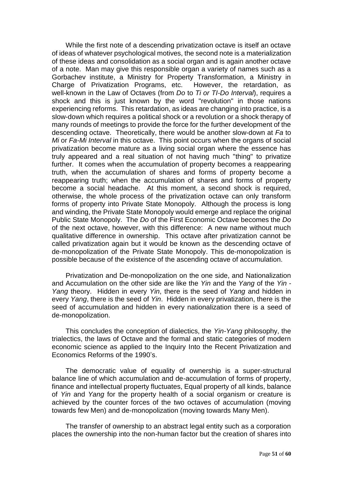While the first note of a descending privatization octave is itself an octave of ideas of whatever psychological motives, the second note is a materialization of these ideas and consolidation as a social organ and is again another octave of a note. Man may give this responsible organ a variety of names such as a Gorbachev institute, a Ministry for Property Transformation, a Ministry in Charge of Privatization Programs, etc. However, the retardation, as well-known in the Law of Octaves (from *Do* to *Ti or TI-Do Interval*), requires a shock and this is just known by the word "revolution" in those nations experiencing reforms. This retardation, as ideas are changing into practice, is a slow-down which requires a political shock or a revolution or a shock therapy of many rounds of meetings to provide the force for the further development of the descending octave. Theoretically, there would be another slow-down at *Fa* to *Mi* or *Fa-Mi Interval* in this octave. This point occurs when the organs of social privatization become mature as a living social organ where the essence has truly appeared and a real situation of not having much "thing" to privatize further. It comes when the accumulation of property becomes a reappearing truth, when the accumulation of shares and forms of property become a reappearing truth; when the accumulation of shares and forms of property become a social headache. At this moment, a second shock is required, otherwise, the whole process of the privatization octave can only transform forms of property into Private State Monopoly. Although the process is long and winding, the Private State Monopoly would emerge and replace the original Public State Monopoly. The *Do* of the First Economic Octave becomes the *Do* of the next octave, however, with this difference: A new name without much qualitative difference in ownership. This octave after privatization cannot be called privatization again but it would be known as the descending octave of de-monopolization of the Private State Monopoly. This de-monopolization is possible because of the existence of the ascending octave of accumulation.

Privatization and De-monopolization on the one side, and Nationalization and Accumulation on the other side are like the *Yin* and the *Yang* of the *Yin - Yang* theory. Hidden in every *Yin*, there is the seed of *Yang* and hidden in every *Yang*, there is the seed of *Yin*. Hidden in every privatization, there is the seed of accumulation and hidden in every nationalization there is a seed of de-monopolization.

This concludes the conception of dialectics, the *Yin-Yang* philosophy, the trialectics, the laws of Octave and the formal and static categories of modern economic science as applied to the Inquiry Into the Recent Privatization and Economics Reforms of the 1990's.

The democratic value of equality of ownership is a super-structural balance line of which accumulation and de-accumulation of forms of property, finance and intellectual property fluctuates, Equal property of all kinds, balance of *Yin* and *Yang* for the property health of a social organism or creature is achieved by the counter forces of the two octaves of accumulation (moving towards few Men) and de-monopolization (moving towards Many Men).

The transfer of ownership to an abstract legal entity such as a corporation places the ownership into the non-human factor but the creation of shares into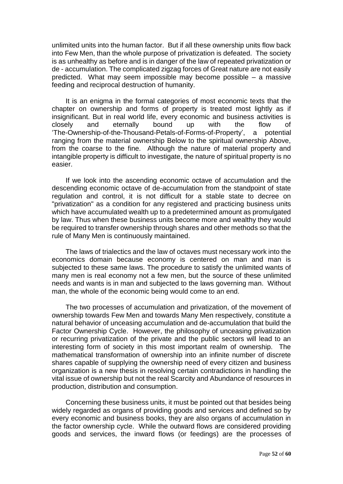unlimited units into the human factor. But if all these ownership units flow back into Few Men, than the whole purpose of privatization is defeated. The society is as unhealthy as before and is in danger of the law of repeated privatization or de - accumulation. The complicated zigzag forces of Great nature are not easily predicted. What may seem impossible may become possible – a massive feeding and reciprocal destruction of humanity.

It is an enigma in the formal categories of most economic texts that the chapter on ownership and forms of property is treated most lightly as if insignificant. But in real world life, every economic and business activities is closely and eternally bound up with the flow of 'The-Ownership-of-the-Thousand-Petals-of-Forms-of-Property', a potential ranging from the material ownership Below to the spiritual ownership Above, from the coarse to the fine. Although the nature of material property and intangible property is difficult to investigate, the nature of spiritual property is no easier.

If we look into the ascending economic octave of accumulation and the descending economic octave of de-accumulation from the standpoint of state regulation and control, it is not difficult for a stable state to decree on "privatization" as a condition for any registered and practicing business units which have accumulated wealth up to a predetermined amount as promulgated by law. Thus when these business units become more and wealthy they would be required to transfer ownership through shares and other methods so that the rule of Many Men is continuously maintained.

The laws of trialectics and the law of octaves must necessary work into the economics domain because economy is centered on man and man is subjected to these same laws. The procedure to satisfy the unlimited wants of many men is real economy not a few men, but the source of these unlimited needs and wants is in man and subjected to the laws governing man. Without man, the whole of the economic being would come to an end.

The two processes of accumulation and privatization, of the movement of ownership towards Few Men and towards Many Men respectively, constitute a natural behavior of unceasing accumulation and de-accumulation that build the Factor Ownership Cycle. However, the philosophy of unceasing privatization or recurring privatization of the private and the public sectors will lead to an interesting form of society in this most important realm of ownership. The mathematical transformation of ownership into an infinite number of discrete shares capable of supplying the ownership need of every citizen and business organization is a new thesis in resolving certain contradictions in handling the vital issue of ownership but not the real Scarcity and Abundance of resources in production, distribution and consumption.

Concerning these business units, it must be pointed out that besides being widely regarded as organs of providing goods and services and defined so by every economic and business books, they are also organs of accumulation in the factor ownership cycle. While the outward flows are considered providing goods and services, the inward flows (or feedings) are the processes of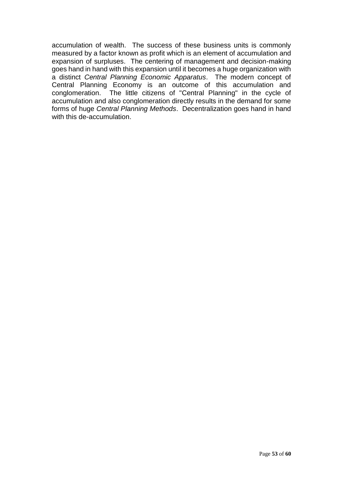accumulation of wealth. The success of these business units is commonly measured by a factor known as profit which is an element of accumulation and expansion of surpluses. The centering of management and decision-making goes hand in hand with this expansion until it becomes a huge organization with a distinct *Central Planning Economic Apparatus*. The modern concept of Central Planning Economy is an outcome of this accumulation and conglomeration. The little citizens of "Central Planning" in the cycle of accumulation and also conglomeration directly results in the demand for some forms of huge *Central Planning Methods*. Decentralization goes hand in hand with this de-accumulation.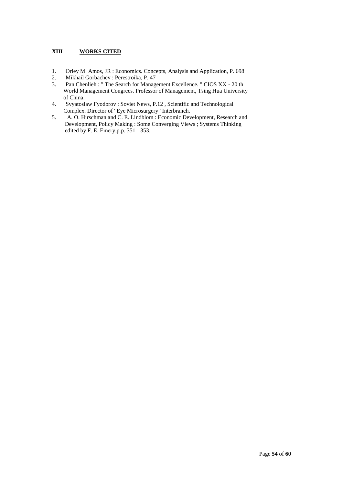#### **XIII WORKS CITED**

- 1. Orley M. Amos, JR : Economics. Concepts, Analysis and Application, P. 698
- 2. Mikhail Gorbachev : Perestroika, P. 47
- 3. Pan Chenlieh : " The Search for Management Excellence. " CIOS XX 20 th World Management Congrees. Professor of Management, Tsing Hua University of China.<br>4. Svyatosl
- 4. Svyatoslaw Fyodorov : Soviet News, P.12 , Scientific and Technological Complex. Director of ' Eye Microsurgery ' Interbranch.
- 5. A. O. Hirschman and C. E. Lindblom : Economic Development, Research and Development, Policy Making : Some Converging Views ; Systems Thinking edited by F. E. Emery,p.p. 351 - 353.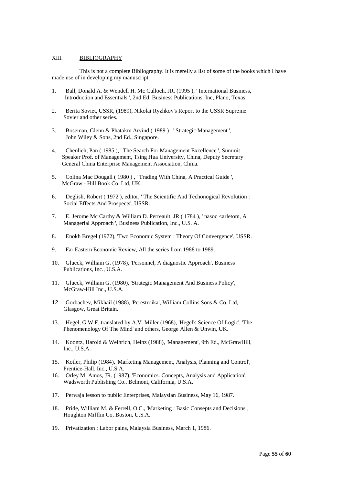#### XIII BIBLIOGRAPHY

This is not a complete Bibliography. It is merelly a list of some of the books which I have made use of in developing my manuscript.

- 1. Ball, Donald A. & Wendell H. Mc Culloch, JR. (1995 ), ' International Business, Introduction and Essentials ', 2nd Ed. Business Publications, Inc, Plano, Texas.
- 2. Berita Soviet, USSR, (1989), Nikolai Ryzhkov's Report to the USSR Supreme Sovier and other series.
- 3. Boseman, Glenn & Phatakm Arvind ( 1989 ) , ' Strategic Management ', John Wiley & Sons, 2nd Ed., Singapore.
- 4. Chenlieh, Pan ( 1985 ), ' The Search For Management Excellence ', Summit Speaker Prof. of Management, Tsing Hua University, China, Deputy Secretary General China Enterprise Management Association, China.
- 5. Colina Mac Dougall ( 1980 ) , ' Trading With China, A Practical Guide ', McGraw - Hill Book Co. Ltd, UK.
- 6. Deglish, Robert ( 1972 ), editor, ' The Scientific And Techonogical Revolution : Social Effects And Prospects', USSR.
- 7. E. Jerome Mc Carthy & William D. Perreault, JR (1784), 'nasoc <arletom, A Managerial Approach ', Business Publication, Inc., U.S. A.
- 8. Enokh Bregel (1972), 'Two Economic System : Theory Of Convergence', USSR.
- 9. Far Eastern Economic Review, All the series from 1988 to 1989.
- 10. Glueck, William G. (1978), 'Personnel, A diagnostic Approach', Business Publications, Inc., U.S.A.
- 11. Glueck, William G. (1980), 'Strategic Management And Business Policy', McGraw-Hill Inc., U.S.A.
- 12. Gorbachev, Mikhail (1988), 'Perestroika', William Collins Sons & Co. Ltd, Glasgow, Great Britain.
- 13. Hegel, G.W.F. translated by A.V. Miller (1968), 'Hegel's Science Of Logic', 'The Phenomenology Of The Mind' and others, George Allen & Unwin, UK.
- 14. Koontz, Harold & Weihrich, Heinz (1988), 'Management', 9th Ed., McGrawHill, Inc., U.S.A.
- 15. Kotler, Philip (1984), 'Marketing Management, Analysis, Planning and Control', Prentice-Hall, Inc., U.S.A.
- 16. Orley M. Amos, JR. (1987), 'Economics. Concepts, Analysis and Application', Wadsworth Publishing Co., Belmont, California, U.S.A.
- 17. Perwaja lesson to public Enterprises, Malaysian Business, May 16, 1987.
- 18. Pride, William M. & Ferrell, O.C., 'Marketing : Basic Consepts and Decisions', Houghton Mifflin Co, Boston, U.S.A.
- 19. Privatization : Labor pains, Malaysia Business, March 1, 1986.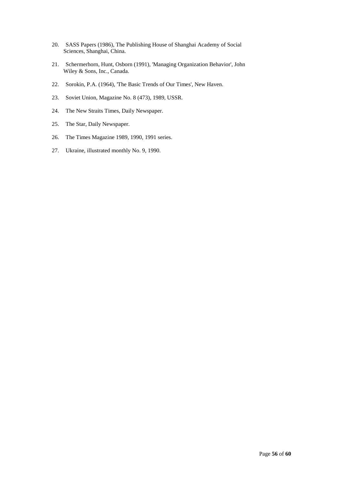- 20. SASS Papers (1986), The Publishing House of Shanghai Academy of Social Sciences, Shanghai, China.
- 21. Schermerhorn, Hunt, Osborn (1991), 'Managing Organization Behavior', John Wiley & Sons, Inc., Canada.
- 22. Sorokin, P.A. (1964), 'The Basic Trends of Our Times', New Haven.
- 23. Soviet Union, Magazine No. 8 (473), 1989, USSR.
- 24. The New Straits Times, Daily Newspaper.
- 25. The Star, Daily Newspaper.
- 26. The Times Magazine 1989, 1990, 1991 series.
- 27. Ukraine, illustrated monthly No. 9, 1990.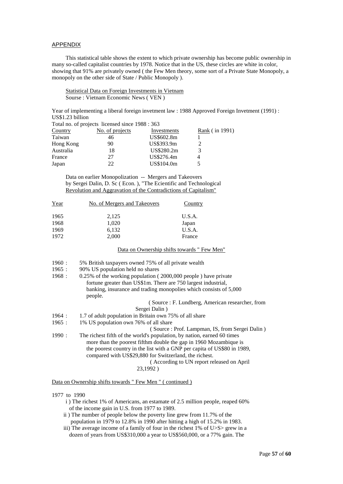#### APPENDIX

This statistical table shows the extent to which private ownership has become public ownership in many so-called capitalist countries by 1978. Notice that in the US, these circles are white in color, showing that 91% are privately owned ( the Few Men theory, some sort of a Private State Monopoly, a monopoly on the other side of State / Public Monopoly ).

Statistical Data on Foreign Investments in Vietnam Sourse : Vietnam Economic News ( VEN )

Year of implementing a liberal foreign invetment law : 1988 Approved Foreign Invetment (1991) : US\$1.23 billion

|           | Total no. of projects licensed since 1988 : 363 |             |                |
|-----------|-------------------------------------------------|-------------|----------------|
| Country   | No. of projects                                 | Investments | Rank (in 1991) |
| Taiwan    | 46                                              | US\$602.8m  |                |
| Hong Kong | 90                                              | US\$393.9m  |                |
| Australia | 18                                              | US\$280.2m  |                |
| France    | 27                                              | US\$276.4m  |                |
| Japan     | 22                                              | US\$104.0m  |                |

Data on earlier Monopolization -- Mergers and Takeovers by Sergei Dalin, D. Sc ( Econ. ), "The Ecientific and Technological Revolution and Aggravation of the Contradictions of Capitalism"

| No. of Mergers and Takeovers | Country |
|------------------------------|---------|
| 2,125                        | U.S.A.  |
| 1,020                        | Japan   |
| 6,132                        | U.S.A.  |
| 2,000                        | France  |
|                              |         |

Data on Ownership shifts towards " Few Men"

- 1960 : 5% British taxpayers owned 75% of all private wealth
- 1965 : 90% US population held no shares

| 1968: | $0.25\%$ of the working population (2000,000 people) have private |
|-------|-------------------------------------------------------------------|
|       | fortune greater than US\$1m. There are 750 largest industrial,    |
|       | banking, insurance and trading monopolies which consists of 5,000 |
|       | people.                                                           |
|       | (Source: F. Lundberg, American researcher, from                   |
|       | Sergei Dalin)                                                     |
| 1964: | 1.7 of adult population in Britain own 75% of all share           |
| 1965: | 1% US population own 76% of all share                             |
|       | (Source: Prof. Lampman, IS, from Sergei Dalin)                    |
|       |                                                                   |

- 1990 : The richest fifth of the world's population, by nation, earned 60 times more than the poorest fifthm double the gap in 1960 Mozambique is the poorest country in the list with a GNP per capita of US\$80 in 1989, compared with US\$29,880 for Switzerland, the richest. ( According to UN report released on April
	- 23,1992 )

Data on Ownership shifts towards " Few Men " ( continued )

#### 1977 to 1990

- i ) The richest 1% of Americans, an estamate of 2.5 million people, reaped 60% of the income gain in U.S. from 1977 to 1989.
- ii ) The number of people below the poverty line grew from 11.7% of the population in 1979 to 12.8% in 1990 after hitting a high of 15.2% in 1983.
- iii) The average income of a family of four in the richest 1% of U>S> grew in a dozen of years from US\$310,000 a year to US\$560,000, or a 77% gain. The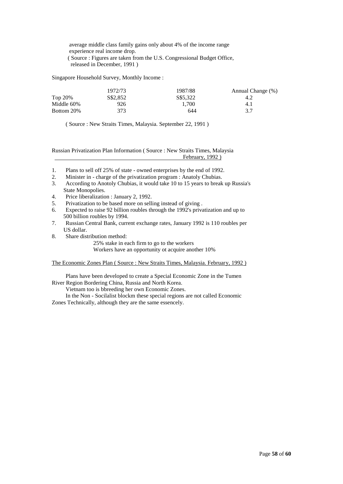average middle class family gains only about 4% of the income range experience real income drop. ( Source : Figures are taken from the U.S. Congressional Budget Office, released in December, 1991 )

Singapore Household Survey, Monthly Income :

|            | 1972/73  | 1987/88  | Annual Change (%) |
|------------|----------|----------|-------------------|
| Top 20%    | S\$2,852 | S\$5.322 | 4.2               |
| Middle 60% | 926      | 1.700    | 4.1               |
| Bottom 20% | 373      | 644      | 3.7               |

( Source : New Straits Times, Malaysia. September 22, 1991 )

Russian Privatization Plan Information ( Source : New Straits Times, Malaysia February, 1992 )

- 1. Plans to sell off 25% of state owned enterprises by the end of 1992.
- 2. Minister in charge of the privatization program : Anatoly Chubias.
- 3. According to Anotoly Chubias, it would take 10 to 15 years to break up Russia's State Monopolies.
- 4. Price liberalization : January 2, 1992.
- 5. Privatization to be based more on selling instead of giving .
- 6. Expected to raise 92 billion roubles through the 1992's privatization and up to 500 billion roubles by 1994.<br>7. Russian Central Bank. curre
- 7. Russian Central Bank, current exchange rates, January 1992 is 110 roubles per US dollar.
- 8. Share distribution method:

25% stake in each firm to go to the workers Workers have an opportunity ot acquire another 10%

The Economic Zones Plan ( Source : New Straits Times, Malaysia. February, 1992 )

Plans have been developed to create a Special Economic Zone in the Tumen River Region Bordering China, Russia and North Korea.

Vietnam too is bbreeding her own Economic Zones.

In the Non - Socilalist blockm these special regions are not called Economic Zones Technically, although they are the same essencely.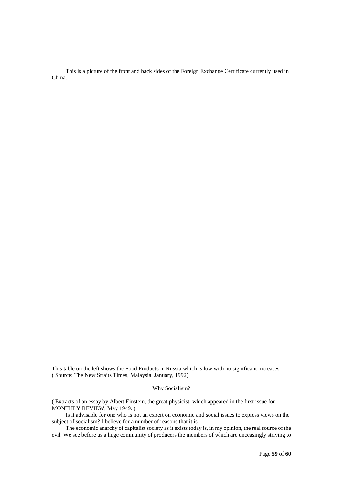This is a picture of the front and back sides of the Foreign Exchange Certificate currently used in China.

This table on the left shows the Food Products in Russia which is low with no significant increases. ( Source: The New Straits Times, Malaysia. January, 1992)

#### Why Socialism?

( Extracts of an essay by Albert Einstein, the great physicist, which appeared in the first issue for MONTHLY REVIEW, May 1949. )

Is it advisable for one who is not an expert on economic and social issues to express views on the subject of socialism? I believe for a number of reasons that it is.

The economic anarchy of capitalist society as it exists today is, in my opinion, the real source of the evil. We see before us a huge community of producers the members of which are unceasingly striving to